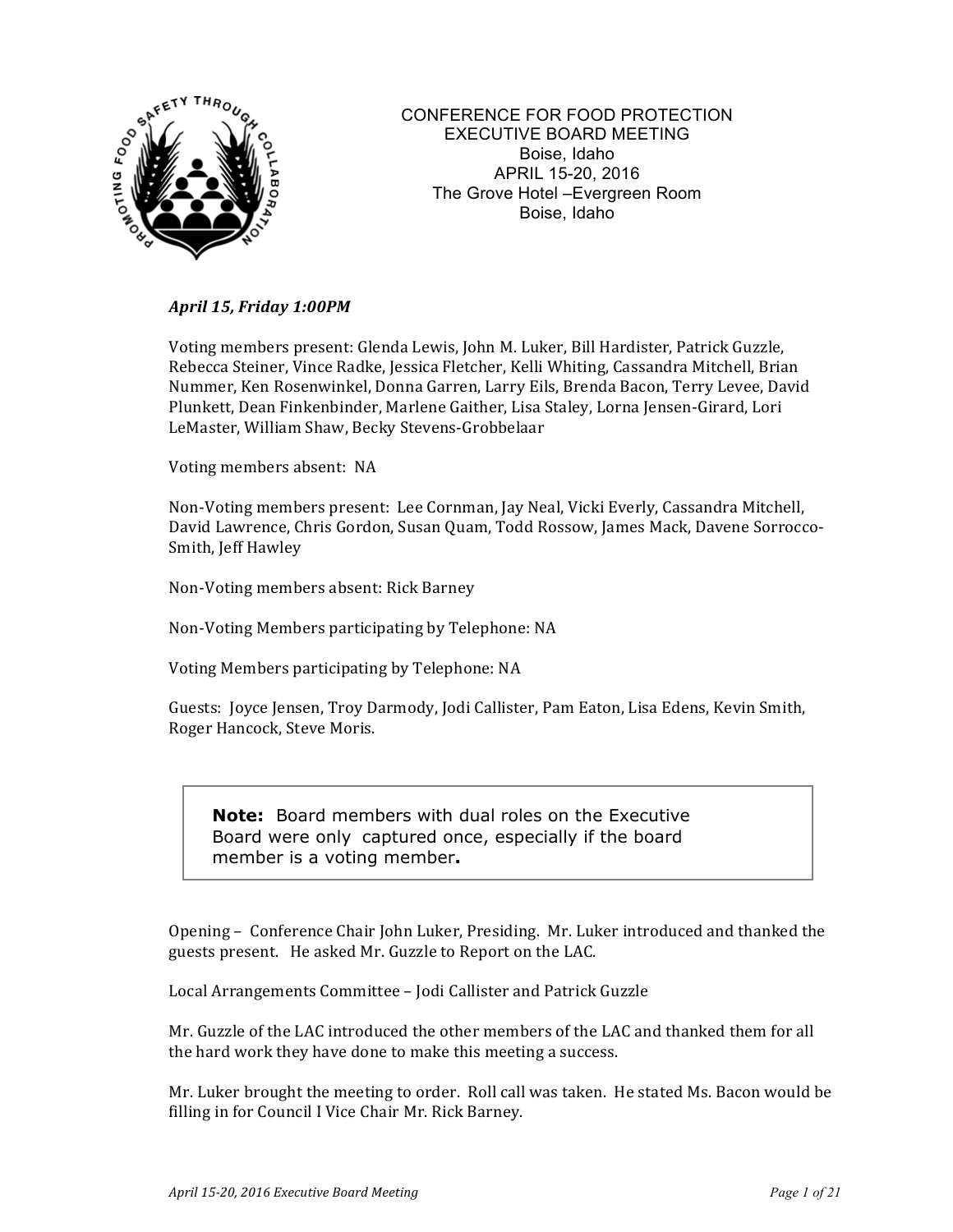

CONFERENCE FOR FOOD PROTECTION EXECUTIVE BOARD MEETING Boise, Idaho APRIL 15-20, 2016 The Grove Hotel –Evergreen Room Boise, Idaho

#### *April 15, Friday 1:00PM*

Voting members present: Glenda Lewis, John M. Luker, Bill Hardister, Patrick Guzzle, Rebecca Steiner, Vince Radke, Jessica Fletcher, Kelli Whiting, Cassandra Mitchell, Brian Nummer, Ken Rosenwinkel, Donna Garren, Larry Eils, Brenda Bacon, Terry Levee, David Plunkett, Dean Finkenbinder, Marlene Gaither, Lisa Staley, Lorna Jensen-Girard, Lori LeMaster, William Shaw, Becky Stevens-Grobbelaar

Voting members absent: NA

Non-Voting members present: Lee Cornman, Jay Neal, Vicki Everly, Cassandra Mitchell, David Lawrence, Chris Gordon, Susan Quam, Todd Rossow, James Mack, Davene Sorrocco-Smith, Jeff Hawley

Non-Voting members absent: Rick Barney

Non-Voting Members participating by Telephone: NA

Voting Members participating by Telephone: NA

Guests: Joyce Jensen, Troy Darmody, Jodi Callister, Pam Eaton, Lisa Edens, Kevin Smith, Roger Hancock, Steve Moris.

**Note:** Board members with dual roles on the Executive Board were only captured once, especially if the board member is a voting member**.**

Opening – Conference Chair John Luker, Presiding. Mr. Luker introduced and thanked the guests present. He asked Mr. Guzzle to Report on the LAC.

Local Arrangements Committee - Jodi Callister and Patrick Guzzle

Mr. Guzzle of the LAC introduced the other members of the LAC and thanked them for all the hard work they have done to make this meeting a success.

Mr. Luker brought the meeting to order. Roll call was taken. He stated Ms. Bacon would be filling in for Council I Vice Chair Mr. Rick Barney.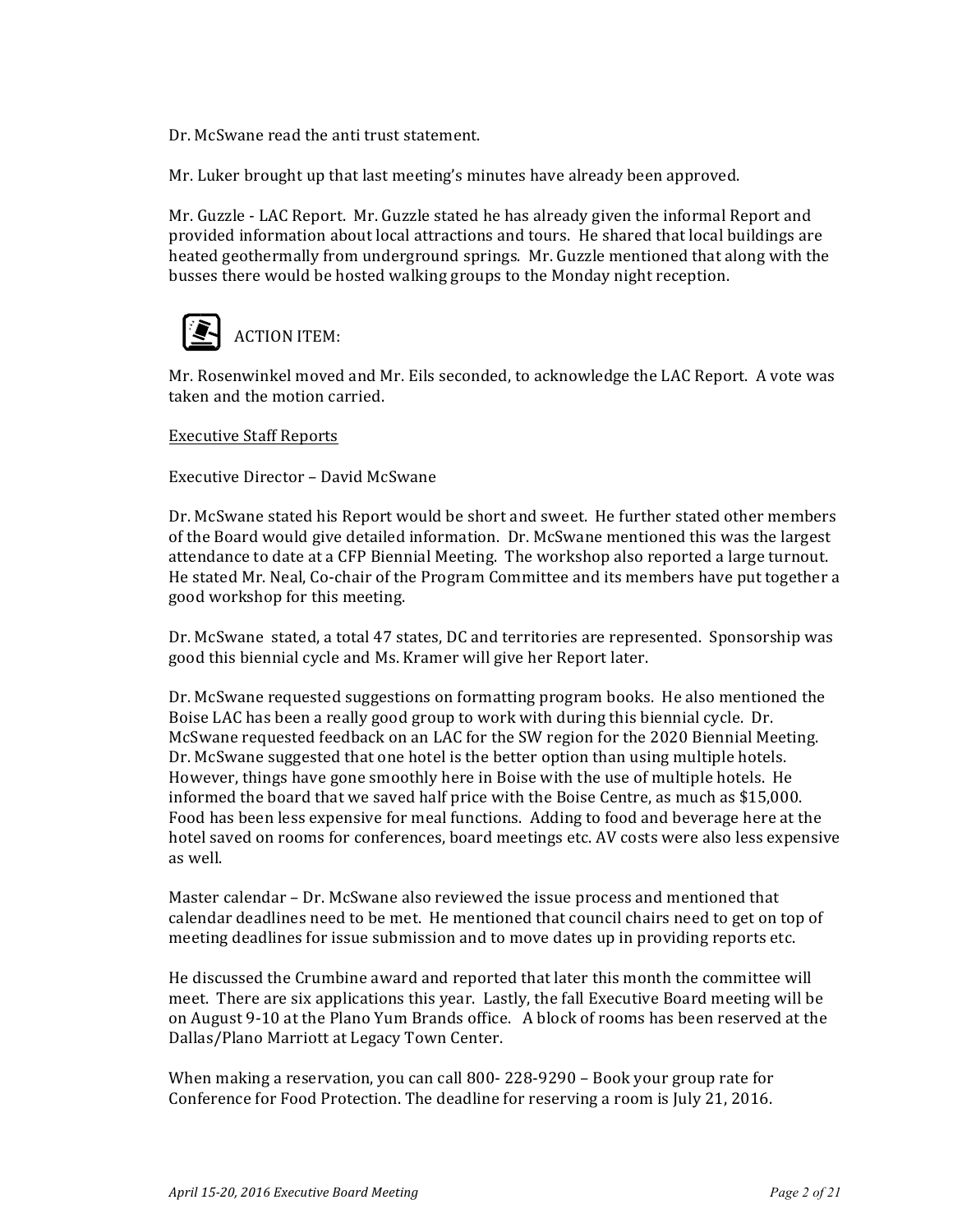Dr. McSwane read the anti trust statement.

Mr. Luker brought up that last meeting's minutes have already been approved.

Mr. Guzzle - LAC Report. Mr. Guzzle stated he has already given the informal Report and provided information about local attractions and tours. He shared that local buildings are heated geothermally from underground springs. Mr. Guzzle mentioned that along with the busses there would be hosted walking groups to the Monday night reception.



Mr. Rosenwinkel moved and Mr. Eils seconded, to acknowledge the LAC Report. A vote was taken and the motion carried.

**Executive Staff Reports** 

Executive Director - David McSwane

Dr. McSwane stated his Report would be short and sweet. He further stated other members of the Board would give detailed information. Dr. McSwane mentioned this was the largest attendance to date at a CFP Biennial Meeting. The workshop also reported a large turnout. He stated Mr. Neal, Co-chair of the Program Committee and its members have put together a good workshop for this meeting.

Dr. McSwane stated, a total 47 states, DC and territories are represented. Sponsorship was good this biennial cycle and Ms. Kramer will give her Report later.

Dr. McSwane requested suggestions on formatting program books. He also mentioned the Boise LAC has been a really good group to work with during this biennial cycle. Dr. McSwane requested feedback on an LAC for the SW region for the 2020 Biennial Meeting. Dr. McSwane suggested that one hotel is the better option than using multiple hotels. However, things have gone smoothly here in Boise with the use of multiple hotels. He informed the board that we saved half price with the Boise Centre, as much as  $$15,000$ . Food has been less expensive for meal functions. Adding to food and beverage here at the hotel saved on rooms for conferences, board meetings etc. AV costs were also less expensive as well.

Master calendar - Dr. McSwane also reviewed the issue process and mentioned that calendar deadlines need to be met. He mentioned that council chairs need to get on top of meeting deadlines for issue submission and to move dates up in providing reports etc.

He discussed the Crumbine award and reported that later this month the committee will meet. There are six applications this year. Lastly, the fall Executive Board meeting will be on August 9-10 at the Plano Yum Brands office. A block of rooms has been reserved at the Dallas/Plano Marriott at Legacy Town Center.

When making a reservation, you can call  $800-228-9290$  – Book your group rate for Conference for Food Protection. The deadline for reserving a room is July 21, 2016.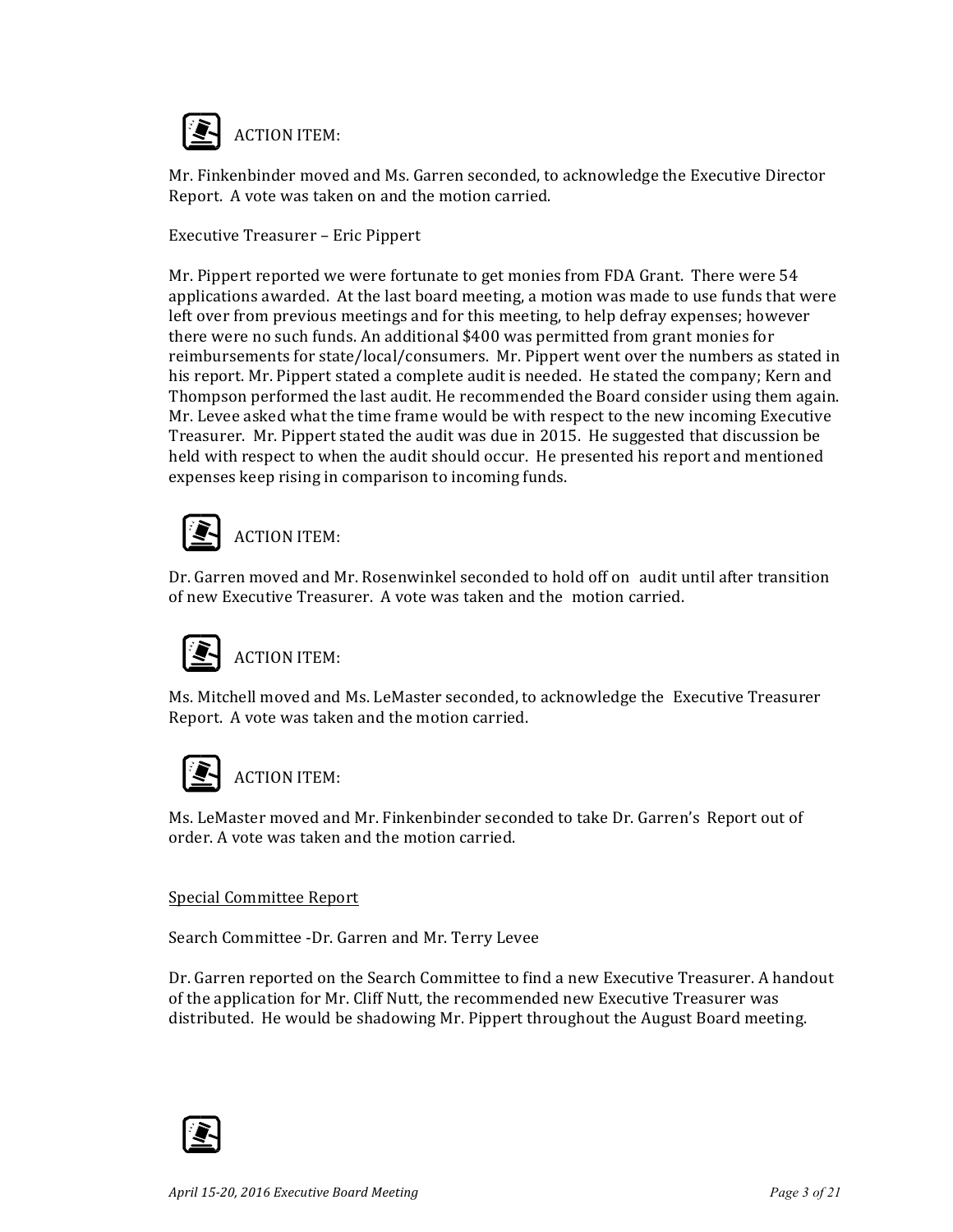

Mr. Finkenbinder moved and Ms. Garren seconded, to acknowledge the Executive Director Report. A vote was taken on and the motion carried.

Executive Treasurer - Eric Pippert

Mr. Pippert reported we were fortunate to get monies from FDA Grant. There were 54 applications awarded. At the last board meeting, a motion was made to use funds that were left over from previous meetings and for this meeting, to help defray expenses; however there were no such funds. An additional \$400 was permitted from grant monies for reimbursements for state/local/consumers. Mr. Pippert went over the numbers as stated in his report. Mr. Pippert stated a complete audit is needed. He stated the company; Kern and Thompson performed the last audit. He recommended the Board consider using them again. Mr. Levee asked what the time frame would be with respect to the new incoming Executive Treasurer. Mr. Pippert stated the audit was due in 2015. He suggested that discussion be held with respect to when the audit should occur. He presented his report and mentioned expenses keep rising in comparison to incoming funds.



Dr. Garren moved and Mr. Rosenwinkel seconded to hold off on audit until after transition of new Executive Treasurer. A vote was taken and the motion carried.



### **ACTION ITEM:**

Ms. Mitchell moved and Ms. LeMaster seconded, to acknowledge the Executive Treasurer Report. A vote was taken and the motion carried.



**ACTION ITEM:** 

Ms. LeMaster moved and Mr. Finkenbinder seconded to take Dr. Garren's Report out of order. A vote was taken and the motion carried.

#### Special Committee Report

Search Committee -Dr. Garren and Mr. Terry Levee

Dr. Garren reported on the Search Committee to find a new Executive Treasurer. A handout of the application for Mr. Cliff Nutt, the recommended new Executive Treasurer was distributed. He would be shadowing Mr. Pippert throughout the August Board meeting.

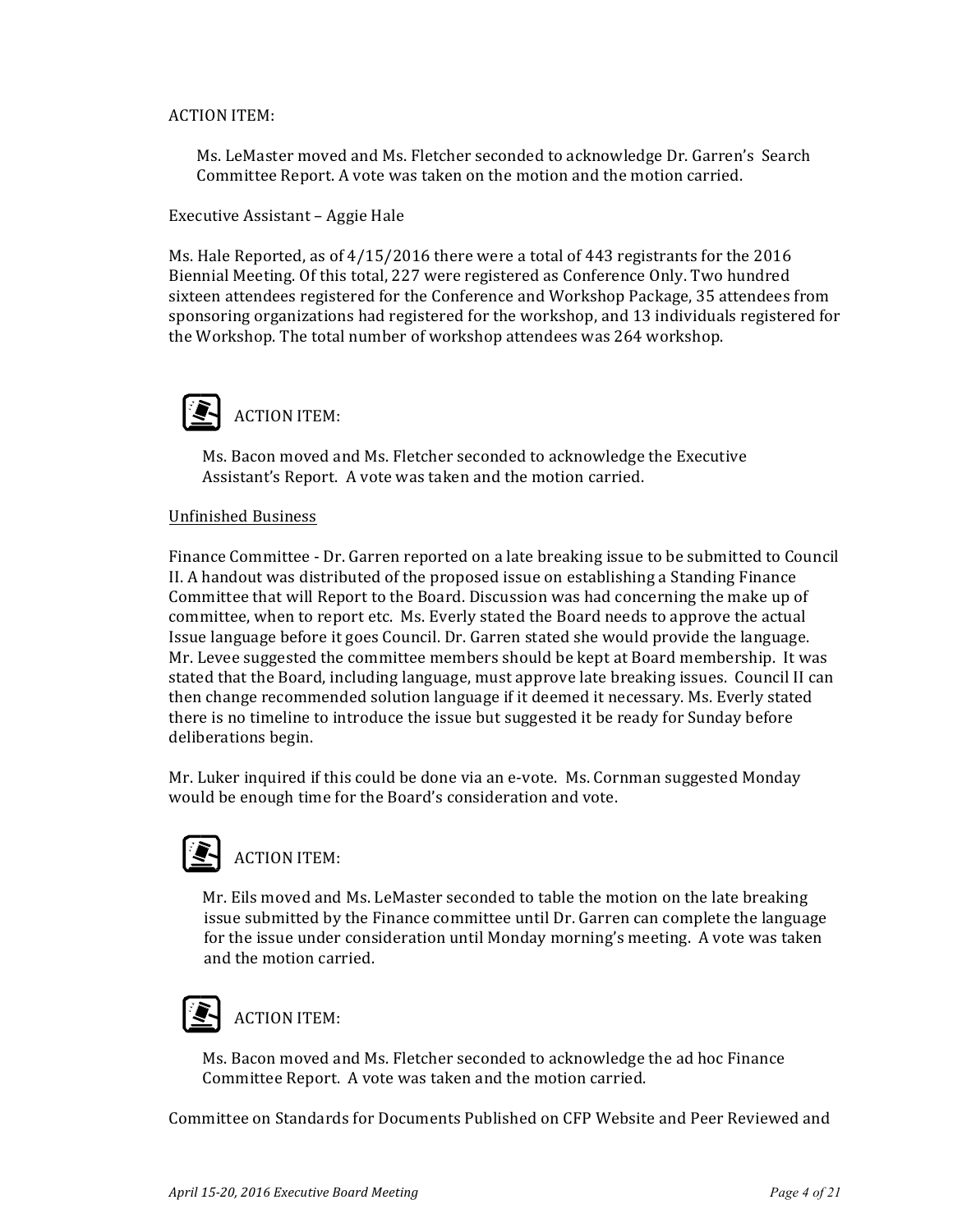#### **ACTION ITEM:**

Ms. LeMaster moved and Ms. Fletcher seconded to acknowledge Dr. Garren's Search Committee Report. A vote was taken on the motion and the motion carried.

Executive Assistant – Aggie Hale

Ms. Hale Reported, as of  $4/15/2016$  there were a total of 443 registrants for the 2016 Biennial Meeting. Of this total, 227 were registered as Conference Only. Two hundred sixteen attendees registered for the Conference and Workshop Package, 35 attendees from sponsoring organizations had registered for the workshop, and 13 individuals registered for the Workshop. The total number of workshop attendees was 264 workshop.



Ms. Bacon moved and Ms. Fletcher seconded to acknowledge the Executive Assistant's Report. A vote was taken and the motion carried.

#### Unfinished Business

Finance Committee - Dr. Garren reported on a late breaking issue to be submitted to Council II. A handout was distributed of the proposed issue on establishing a Standing Finance Committee that will Report to the Board. Discussion was had concerning the make up of committee, when to report etc. Ms. Everly stated the Board needs to approve the actual Issue language before it goes Council. Dr. Garren stated she would provide the language. Mr. Levee suggested the committee members should be kept at Board membership. It was stated that the Board, including language, must approve late breaking issues. Council II can then change recommended solution language if it deemed it necessary. Ms. Everly stated there is no timeline to introduce the issue but suggested it be ready for Sunday before deliberations begin. 

Mr. Luker inquired if this could be done via an e-vote. Ms. Cornman suggested Monday would be enough time for the Board's consideration and vote.



Mr. Eils moved and Ms. LeMaster seconded to table the motion on the late breaking issue submitted by the Finance committee until Dr. Garren can complete the language for the issue under consideration until Monday morning's meeting. A vote was taken and the motion carried.

## **ACTION ITEM:**

Ms. Bacon moved and Ms. Fletcher seconded to acknowledge the ad hoc Finance Committee Report. A vote was taken and the motion carried.

Committee on Standards for Documents Published on CFP Website and Peer Reviewed and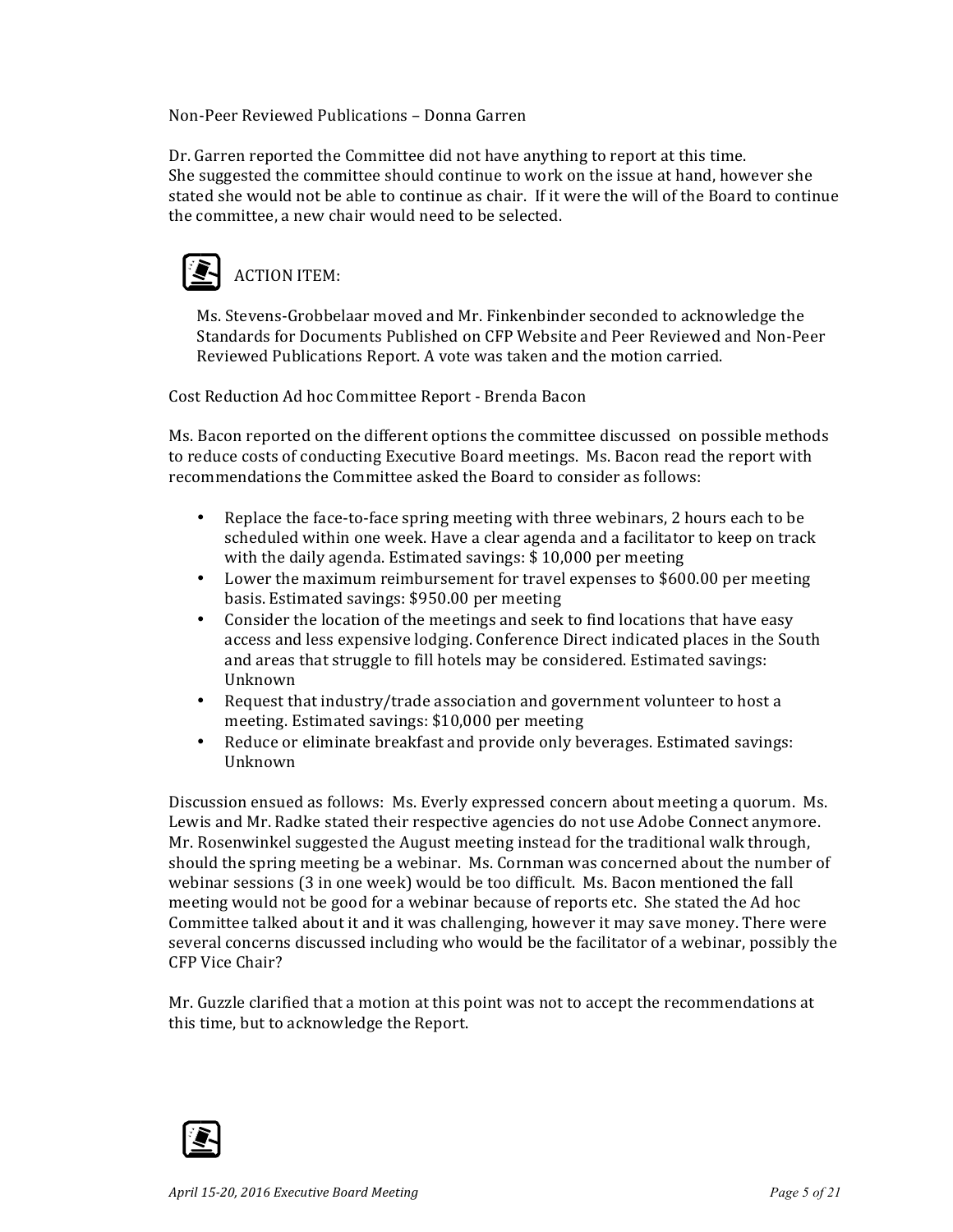Non-Peer Reviewed Publications – Donna Garren

Dr. Garren reported the Committee did not have anything to report at this time. She suggested the committee should continue to work on the issue at hand, however she stated she would not be able to continue as chair. If it were the will of the Board to continue the committee, a new chair would need to be selected.



Ms. Stevens-Grobbelaar moved and Mr. Finkenbinder seconded to acknowledge the Standards for Documents Published on CFP Website and Peer Reviewed and Non-Peer Reviewed Publications Report. A vote was taken and the motion carried.

Cost Reduction Ad hoc Committee Report - Brenda Bacon

Ms. Bacon reported on the different options the committee discussed on possible methods to reduce costs of conducting Executive Board meetings. Ms. Bacon read the report with recommendations the Committee asked the Board to consider as follows:

- Replace the face-to-face spring meeting with three webinars, 2 hours each to be scheduled within one week. Have a clear agenda and a facilitator to keep on track with the daily agenda. Estimated savings:  $$10,000$  per meeting
- Lower the maximum reimbursement for travel expenses to \$600.00 per meeting basis. Estimated savings: \$950.00 per meeting
- Consider the location of the meetings and seek to find locations that have easy access and less expensive lodging. Conference Direct indicated places in the South and areas that struggle to fill hotels may be considered. Estimated savings: Unknown
- Request that industry/trade association and government volunteer to host a meeting. Estimated savings: \$10,000 per meeting
- Reduce or eliminate breakfast and provide only beverages. Estimated savings: Unknown

Discussion ensued as follows: Ms. Everly expressed concern about meeting a quorum. Ms. Lewis and Mr. Radke stated their respective agencies do not use Adobe Connect anymore. Mr. Rosenwinkel suggested the August meeting instead for the traditional walk through, should the spring meeting be a webinar. Ms. Cornman was concerned about the number of webinar sessions (3 in one week) would be too difficult. Ms. Bacon mentioned the fall meeting would not be good for a webinar because of reports etc. She stated the Ad hoc Committee talked about it and it was challenging, however it may save money. There were several concerns discussed including who would be the facilitator of a webinar, possibly the CFP Vice Chair? 

Mr. Guzzle clarified that a motion at this point was not to accept the recommendations at this time, but to acknowledge the Report.

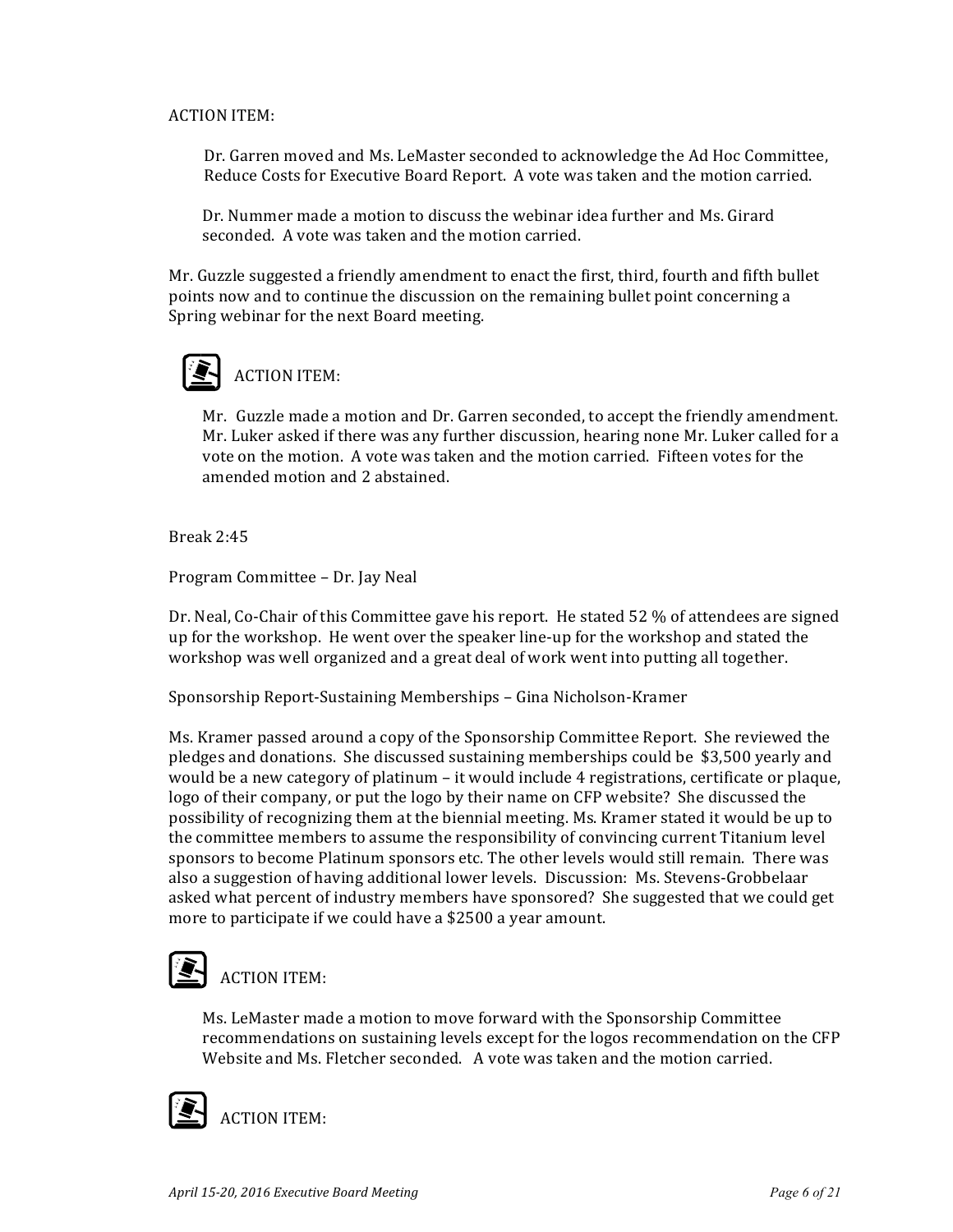#### **ACTION ITEM:**

Dr. Garren moved and Ms. LeMaster seconded to acknowledge the Ad Hoc Committee, Reduce Costs for Executive Board Report. A vote was taken and the motion carried.

Dr. Nummer made a motion to discuss the webinar idea further and Ms. Girard seconded. A vote was taken and the motion carried.

Mr. Guzzle suggested a friendly amendment to enact the first, third, fourth and fifth bullet points now and to continue the discussion on the remaining bullet point concerning a Spring webinar for the next Board meeting.



### **ACTION ITEM:**

Mr. Guzzle made a motion and Dr. Garren seconded, to accept the friendly amendment. Mr. Luker asked if there was any further discussion, hearing none Mr. Luker called for a vote on the motion. A vote was taken and the motion carried. Fifteen votes for the amended motion and 2 abstained.

Break 2:45

Program Committee – Dr. Jay Neal

Dr. Neal, Co-Chair of this Committee gave his report. He stated 52 % of attendees are signed up for the workshop. He went over the speaker line-up for the workshop and stated the workshop was well organized and a great deal of work went into putting all together.

Sponsorship Report-Sustaining Memberships - Gina Nicholson-Kramer

Ms. Kramer passed around a copy of the Sponsorship Committee Report. She reviewed the pledges and donations. She discussed sustaining memberships could be \$3,500 yearly and would be a new category of platinum  $-$  it would include 4 registrations, certificate or plaque, logo of their company, or put the logo by their name on CFP website? She discussed the possibility of recognizing them at the biennial meeting. Ms. Kramer stated it would be up to the committee members to assume the responsibility of convincing current Titanium level sponsors to become Platinum sponsors etc. The other levels would still remain. There was also a suggestion of having additional lower levels. Discussion: Ms. Stevens-Grobbelaar asked what percent of industry members have sponsored? She suggested that we could get more to participate if we could have a \$2500 a year amount.

## $\sum$  ACTION ITEM:

Ms. LeMaster made a motion to move forward with the Sponsorship Committee recommendations on sustaining levels except for the logos recommendation on the CFP Website and Ms. Fletcher seconded. A vote was taken and the motion carried.



**ACTION ITEM:**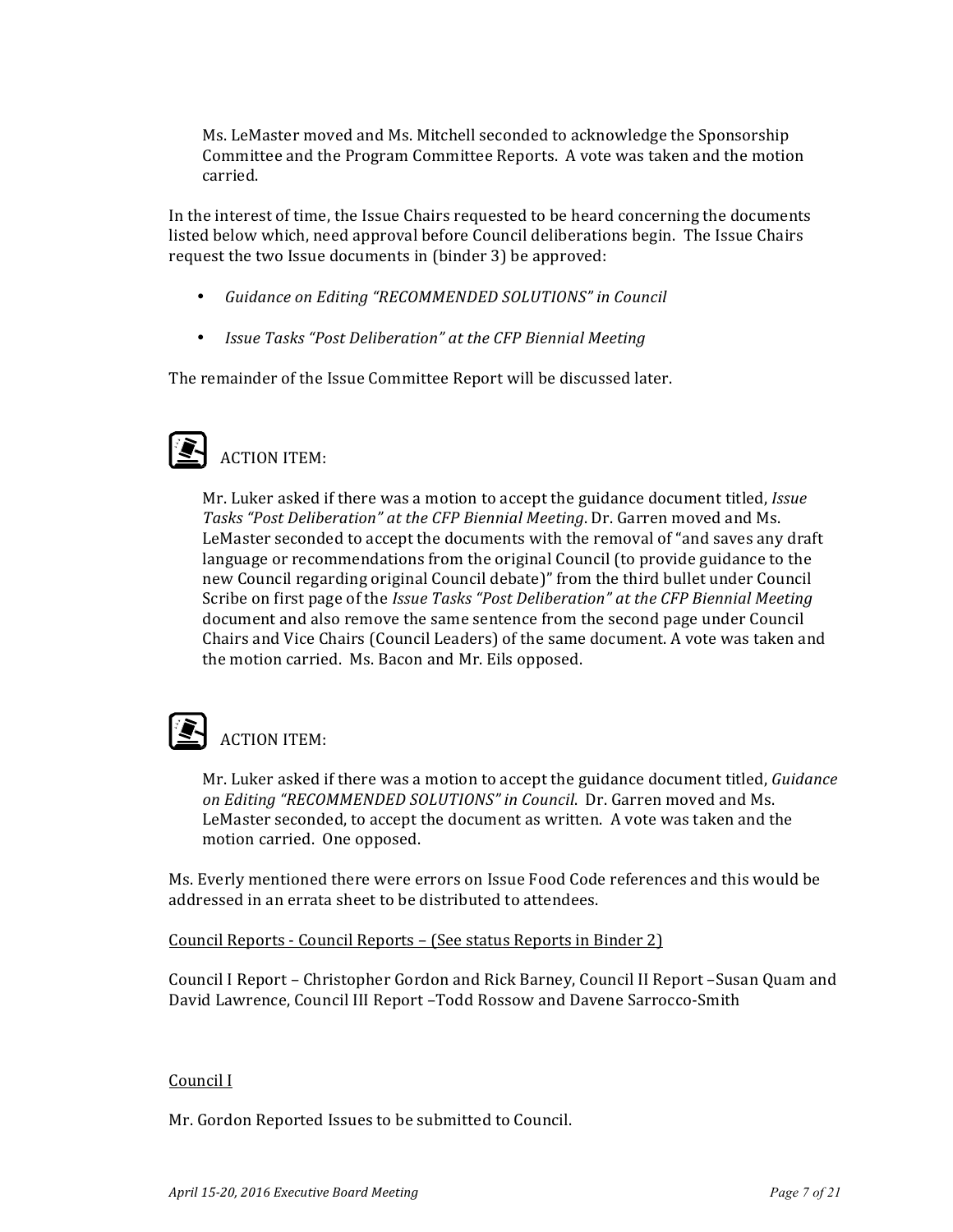Ms. LeMaster moved and Ms. Mitchell seconded to acknowledge the Sponsorship Committee and the Program Committee Reports. A vote was taken and the motion carried.

In the interest of time, the Issue Chairs requested to be heard concerning the documents listed below which, need approval before Council deliberations begin. The Issue Chairs request the two Issue documents in (binder 3) be approved:

- *Guidance on Editing "RECOMMENDED SOLUTIONS" in Council*
- *Issue Tasks "Post Deliberation"* at the CFP Biennial Meeting

The remainder of the Issue Committee Report will be discussed later.

# $\sum$  ACTION ITEM:

Mr. Luker asked if there was a motion to accept the guidance document titled, *Issue* Tasks "Post Deliberation" at the CFP Biennial Meeting. Dr. Garren moved and Ms. LeMaster seconded to accept the documents with the removal of "and saves any draft language or recommendations from the original Council (to provide guidance to the new Council regarding original Council debate)" from the third bullet under Council Scribe on first page of the *Issue Tasks* "Post Deliberation" at the CFP Biennial Meeting document and also remove the same sentence from the second page under Council Chairs and Vice Chairs (Council Leaders) of the same document. A vote was taken and the motion carried. Ms. Bacon and Mr. Eils opposed.

## **ACTION ITEM:**

Mr. Luker asked if there was a motion to accept the guidance document titled, *Guidance* on Editing "RECOMMENDED SOLUTIONS" in Council. Dr. Garren moved and Ms. LeMaster seconded, to accept the document as written. A vote was taken and the motion carried. One opposed.

Ms. Everly mentioned there were errors on Issue Food Code references and this would be addressed in an errata sheet to be distributed to attendees.

Council Reports - Council Reports – (See status Reports in Binder 2)

Council I Report – Christopher Gordon and Rick Barney, Council II Report –Susan Quam and David Lawrence, Council III Report -Todd Rossow and Davene Sarrocco-Smith

#### Council I

Mr. Gordon Reported Issues to be submitted to Council.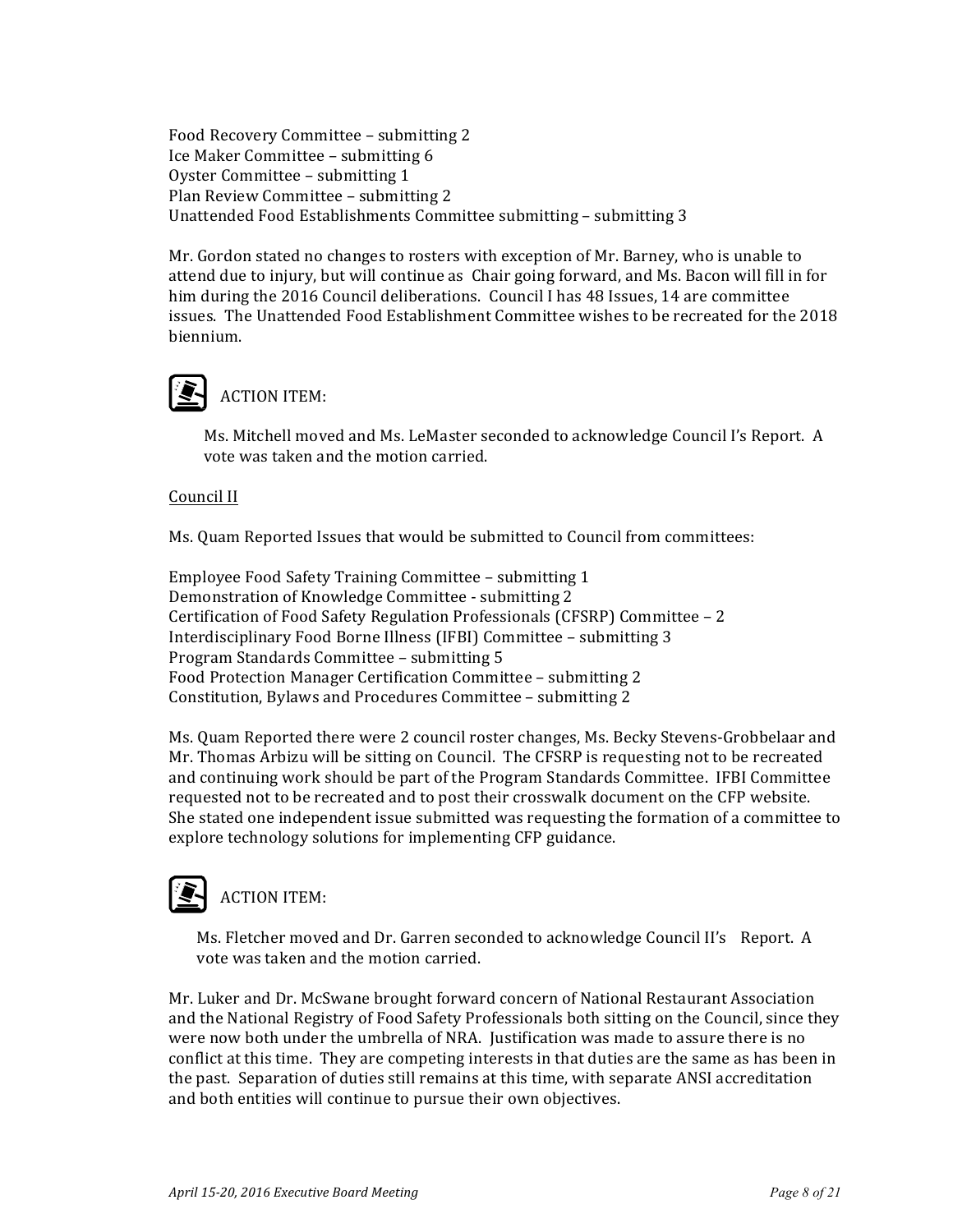Food Recovery Committee - submitting 2 Ice Maker Committee - submitting 6 Oyster Committee - submitting 1 Plan Review Committee - submitting 2 Unattended Food Establishments Committee submitting - submitting 3

Mr. Gordon stated no changes to rosters with exception of Mr. Barney, who is unable to attend due to injury, but will continue as Chair going forward, and Ms. Bacon will fill in for him during the 2016 Council deliberations. Council I has 48 Issues, 14 are committee issues. The Unattended Food Establishment Committee wishes to be recreated for the 2018 biennium.

### **ACTION ITEM:**

Ms. Mitchell moved and Ms. LeMaster seconded to acknowledge Council I's Report. A vote was taken and the motion carried.

#### Council II

Ms. Quam Reported Issues that would be submitted to Council from committees:

Employee Food Safety Training Committee - submitting 1 Demonstration of Knowledge Committee - submitting 2 Certification of Food Safety Regulation Professionals (CFSRP) Committee - 2 Interdisciplinary Food Borne Illness (IFBI) Committee – submitting 3 Program Standards Committee - submitting 5 Food Protection Manager Certification Committee - submitting 2 Constitution, Bylaws and Procedures Committee - submitting 2

Ms. Quam Reported there were 2 council roster changes, Ms. Becky Stevens-Grobbelaar and Mr. Thomas Arbizu will be sitting on Council. The CFSRP is requesting not to be recreated and continuing work should be part of the Program Standards Committee. IFBI Committee requested not to be recreated and to post their crosswalk document on the CFP website. She stated one independent issue submitted was requesting the formation of a committee to explore technology solutions for implementing CFP guidance.

### **ACTION ITEM:**

Ms. Fletcher moved and Dr. Garren seconded to acknowledge Council II's Report. A vote was taken and the motion carried.

Mr. Luker and Dr. McSwane brought forward concern of National Restaurant Association and the National Registry of Food Safety Professionals both sitting on the Council, since they were now both under the umbrella of NRA. Justification was made to assure there is no conflict at this time. They are competing interests in that duties are the same as has been in the past. Separation of duties still remains at this time, with separate ANSI accreditation and both entities will continue to pursue their own objectives.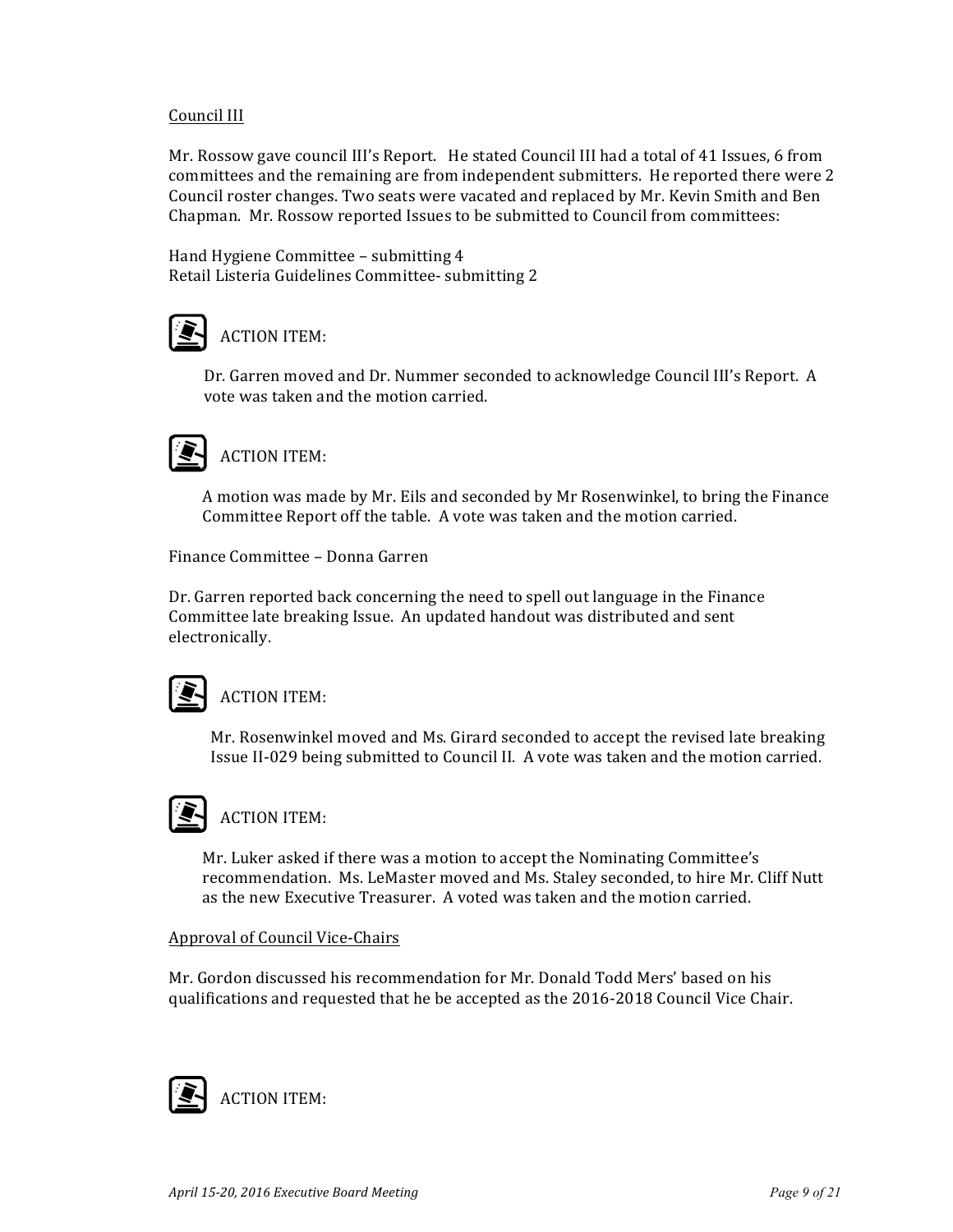#### Council III

Mr. Rossow gave council III's Report. He stated Council III had a total of 41 Issues, 6 from committees and the remaining are from independent submitters. He reported there were 2 Council roster changes. Two seats were vacated and replaced by Mr. Kevin Smith and Ben Chapman. Mr. Rossow reported Issues to be submitted to Council from committees:

Hand Hygiene Committee - submitting 4 Retail Listeria Guidelines Committee- submitting 2



Dr. Garren moved and Dr. Nummer seconded to acknowledge Council III's Report. A vote was taken and the motion carried.

### **ACTION ITEM:**

A motion was made by Mr. Eils and seconded by Mr Rosenwinkel, to bring the Finance Committee Report off the table. A vote was taken and the motion carried.

Finance Committee - Donna Garren

Dr. Garren reported back concerning the need to spell out language in the Finance Committee late breaking Issue. An updated handout was distributed and sent electronically. 

### **ACTION ITEM:**

Mr. Rosenwinkel moved and Ms. Girard seconded to accept the revised late breaking Issue II-029 being submitted to Council II. A vote was taken and the motion carried.



### **ACTION ITEM:**

Mr. Luker asked if there was a motion to accept the Nominating Committee's recommendation. Ms. LeMaster moved and Ms. Staley seconded, to hire Mr. Cliff Nutt as the new Executive Treasurer. A voted was taken and the motion carried.

#### Approval of Council Vice-Chairs

Mr. Gordon discussed his recommendation for Mr. Donald Todd Mers' based on his qualifications and requested that he be accepted as the 2016-2018 Council Vice Chair.

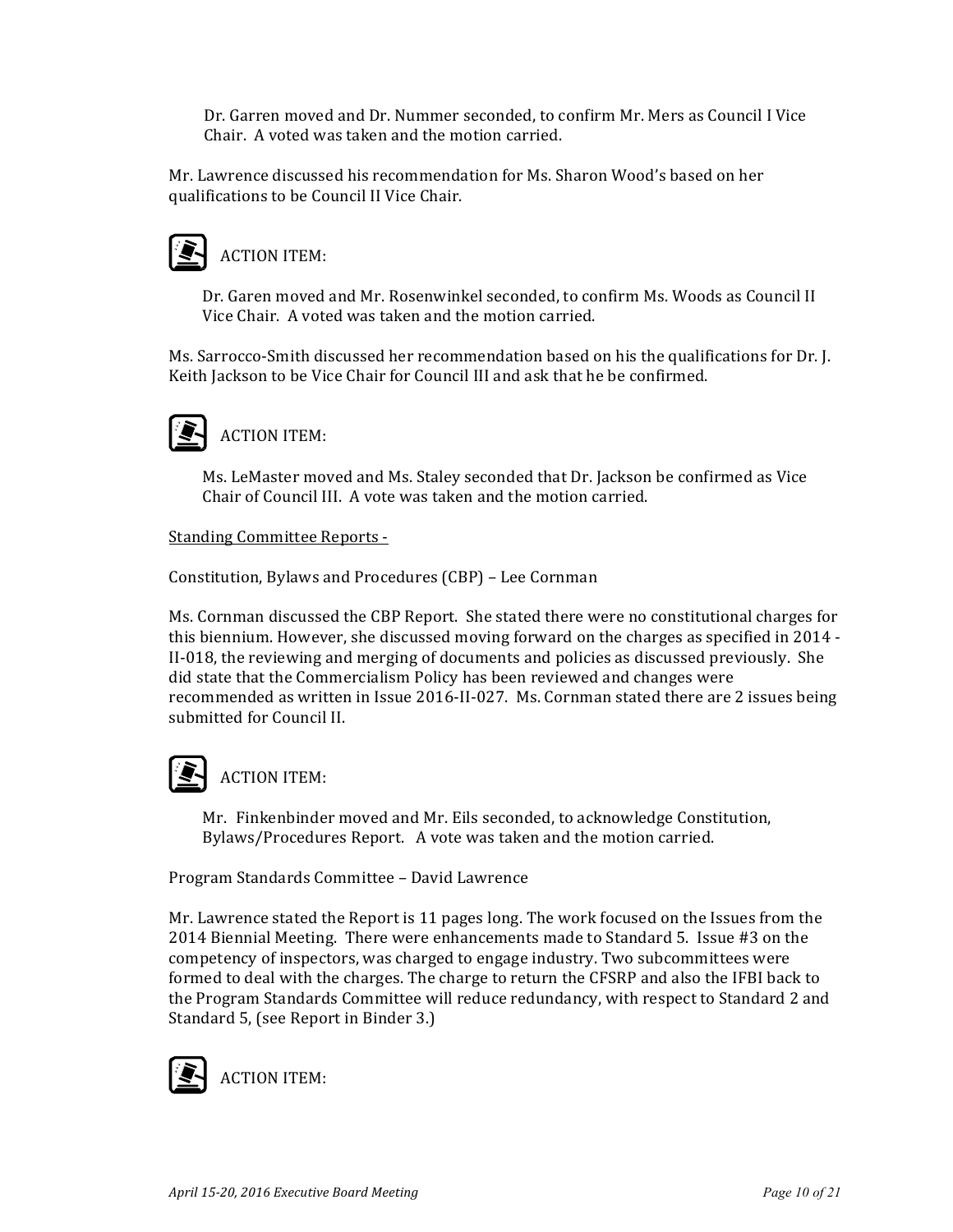Dr. Garren moved and Dr. Nummer seconded, to confirm Mr. Mers as Council I Vice Chair. A voted was taken and the motion carried.

Mr. Lawrence discussed his recommendation for Ms. Sharon Wood's based on her qualifications to be Council II Vice Chair.

# **ACTION ITEM:**

Dr. Garen moved and Mr. Rosenwinkel seconded, to confirm Ms. Woods as Council II Vice Chair. A voted was taken and the motion carried.

Ms. Sarrocco-Smith discussed her recommendation based on his the qualifications for Dr. [. Keith Jackson to be Vice Chair for Council III and ask that he be confirmed.



Ms. LeMaster moved and Ms. Staley seconded that Dr. Jackson be confirmed as Vice Chair of Council III. A vote was taken and the motion carried.

#### Standing Committee Reports -

Constitution, Bylaws and Procedures (CBP) - Lee Cornman

Ms. Cornman discussed the CBP Report. She stated there were no constitutional charges for this biennium. However, she discussed moving forward on the charges as specified in 2014 -II-018, the reviewing and merging of documents and policies as discussed previously. She did state that the Commercialism Policy has been reviewed and changes were recommended as written in Issue 2016-II-027. Ms. Cornman stated there are 2 issues being submitted for Council II.

### **ACTION ITEM:**

Mr. Finkenbinder moved and Mr. Eils seconded, to acknowledge Constitution, Bylaws/Procedures Report. A vote was taken and the motion carried.

Program Standards Committee - David Lawrence

Mr. Lawrence stated the Report is 11 pages long. The work focused on the Issues from the 2014 Biennial Meeting. There were enhancements made to Standard 5. Issue #3 on the competency of inspectors, was charged to engage industry. Two subcommittees were formed to deal with the charges. The charge to return the CFSRP and also the IFBI back to the Program Standards Committee will reduce redundancy, with respect to Standard 2 and Standard 5, (see Report in Binder 3.)

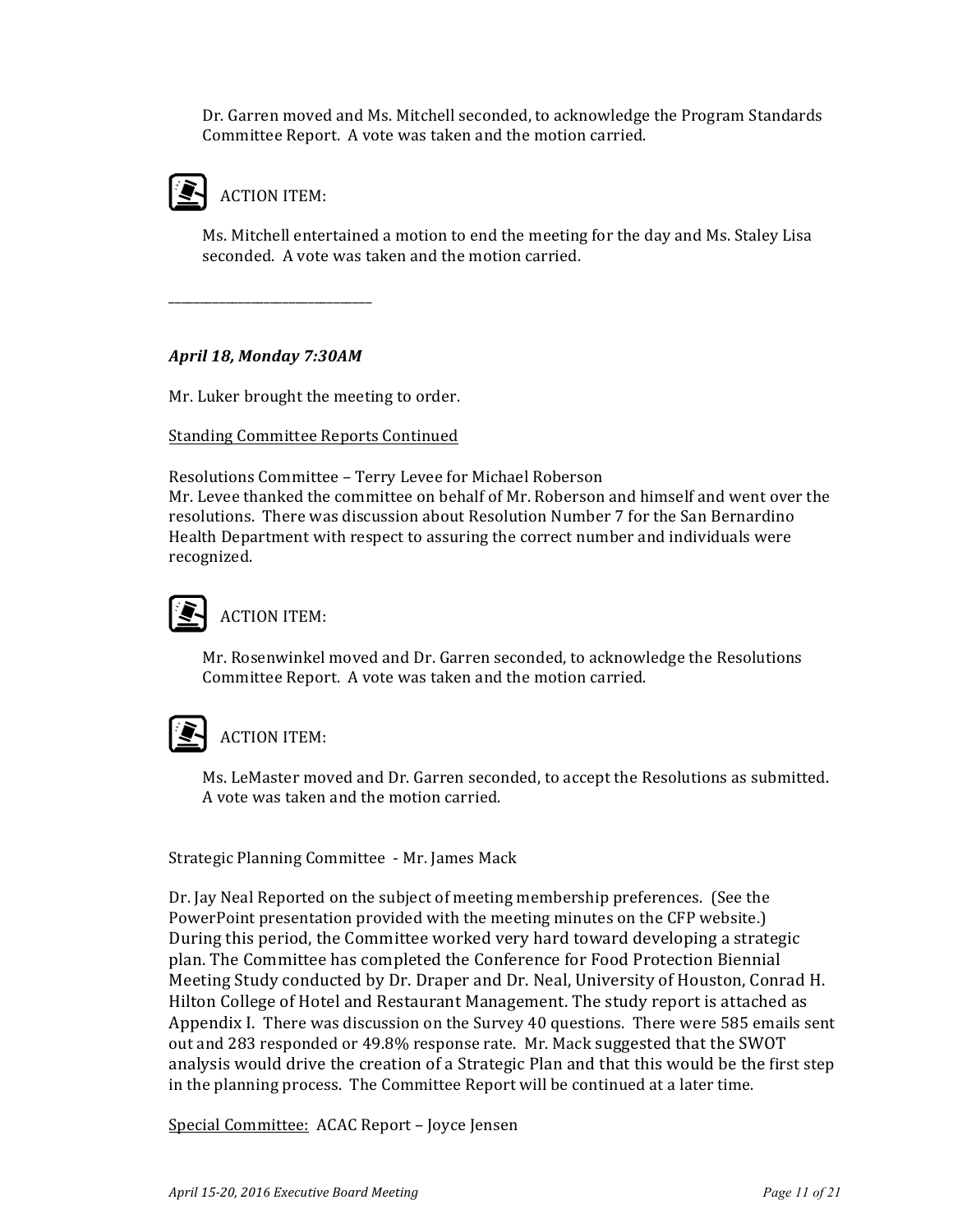Dr. Garren moved and Ms. Mitchell seconded, to acknowledge the Program Standards Committee Report. A vote was taken and the motion carried.



Ms. Mitchell entertained a motion to end the meeting for the day and Ms. Staley Lisa seconded. A vote was taken and the motion carried.

#### *April 18, Monday 7:30AM*

\_\_\_\_\_\_\_\_\_\_\_\_\_\_\_\_\_\_\_\_\_\_\_\_\_\_\_\_\_\_\_\_

Mr. Luker brought the meeting to order.

#### **Standing Committee Reports Continued**

Resolutions Committee - Terry Levee for Michael Roberson

Mr. Levee thanked the committee on behalf of Mr. Roberson and himself and went over the resolutions. There was discussion about Resolution Number 7 for the San Bernardino Health Department with respect to assuring the correct number and individuals were recognized.

## **ACTION ITEM:**

Mr. Rosenwinkel moved and Dr. Garren seconded, to acknowledge the Resolutions Committee Report. A vote was taken and the motion carried.

### **ACTION ITEM:**

Ms. LeMaster moved and Dr. Garren seconded, to accept the Resolutions as submitted. A vote was taken and the motion carried.

Strategic Planning Committee - Mr. James Mack

Dr. Jay Neal Reported on the subject of meeting membership preferences. (See the PowerPoint presentation provided with the meeting minutes on the CFP website.) During this period, the Committee worked very hard toward developing a strategic plan. The Committee has completed the Conference for Food Protection Biennial Meeting Study conducted by Dr. Draper and Dr. Neal, University of Houston, Conrad H. Hilton College of Hotel and Restaurant Management. The study report is attached as Appendix I. There was discussion on the Survey 40 questions. There were 585 emails sent out and 283 responded or 49.8% response rate. Mr. Mack suggested that the SWOT analysis would drive the creation of a Strategic Plan and that this would be the first step in the planning process. The Committee Report will be continued at a later time.

Special Committee: ACAC Report – Joyce Jensen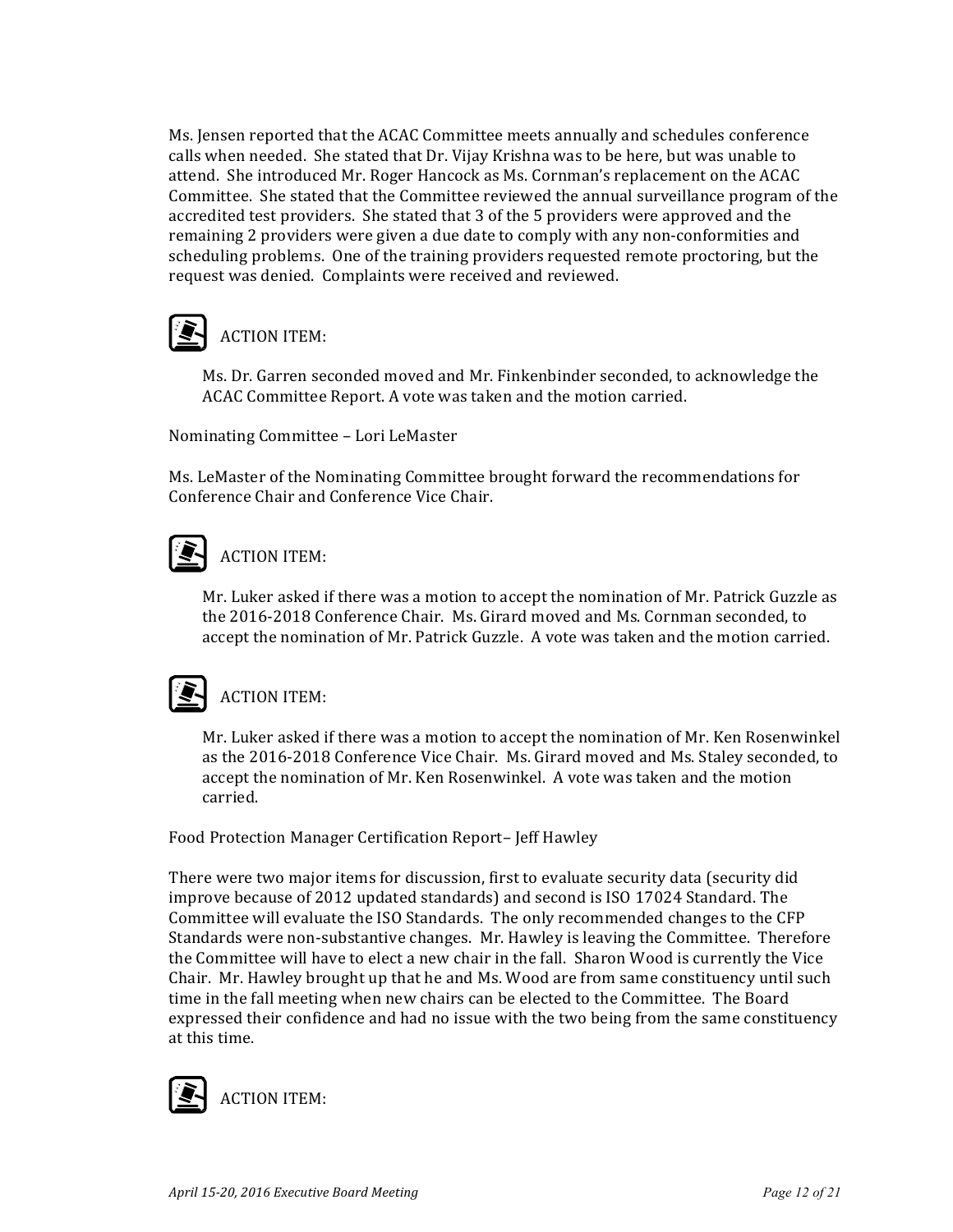Ms. Jensen reported that the ACAC Committee meets annually and schedules conference calls when needed. She stated that Dr. Vijay Krishna was to be here, but was unable to attend. She introduced Mr. Roger Hancock as Ms. Cornman's replacement on the ACAC Committee. She stated that the Committee reviewed the annual surveillance program of the accredited test providers. She stated that 3 of the 5 providers were approved and the remaining 2 providers were given a due date to comply with any non-conformities and scheduling problems. One of the training providers requested remote proctoring, but the request was denied. Complaints were received and reviewed.



Ms. Dr. Garren seconded moved and Mr. Finkenbinder seconded, to acknowledge the ACAC Committee Report. A vote was taken and the motion carried.

Nominating Committee - Lori LeMaster

Ms. LeMaster of the Nominating Committee brought forward the recommendations for Conference Chair and Conference Vice Chair.

### **ACTION ITEM:**

Mr. Luker asked if there was a motion to accept the nomination of Mr. Patrick Guzzle as the 2016-2018 Conference Chair. Ms. Girard moved and Ms. Cornman seconded, to accept the nomination of Mr. Patrick Guzzle. A vote was taken and the motion carried.

### **ACTION ITEM:**

Mr. Luker asked if there was a motion to accept the nomination of Mr. Ken Rosenwinkel as the 2016-2018 Conference Vice Chair. Ms. Girard moved and Ms. Staley seconded, to accept the nomination of Mr. Ken Rosenwinkel. A vote was taken and the motion carried.

Food Protection Manager Certification Report-Jeff Hawley

There were two major items for discussion, first to evaluate security data (security did improve because of 2012 updated standards) and second is ISO 17024 Standard. The Committee will evaluate the ISO Standards. The only recommended changes to the CFP Standards were non-substantive changes. Mr. Hawley is leaving the Committee. Therefore the Committee will have to elect a new chair in the fall. Sharon Wood is currently the Vice Chair. Mr. Hawley brought up that he and Ms. Wood are from same constituency until such time in the fall meeting when new chairs can be elected to the Committee. The Board expressed their confidence and had no issue with the two being from the same constituency at this time.

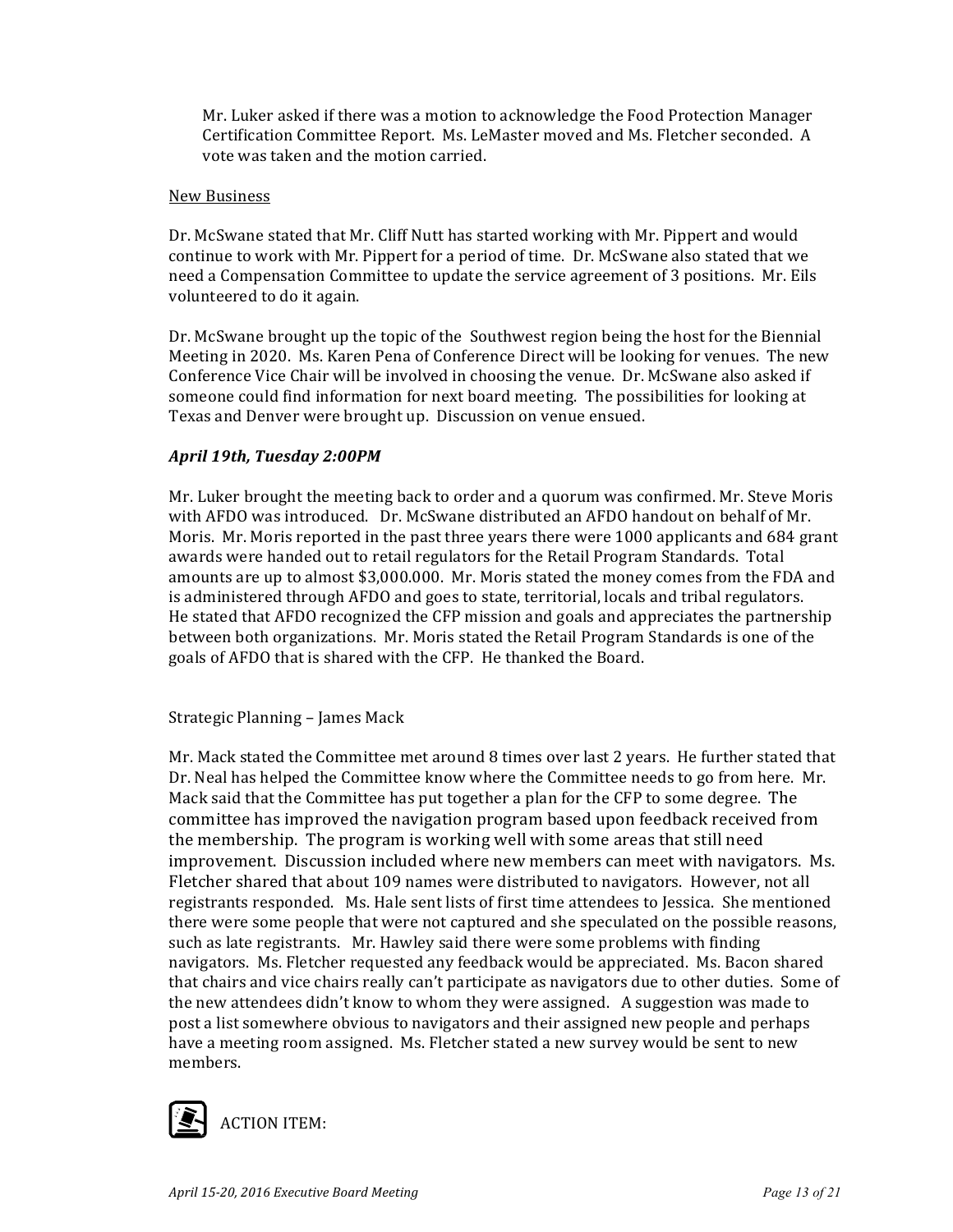Mr. Luker asked if there was a motion to acknowledge the Food Protection Manager Certification Committee Report. Ms. LeMaster moved and Ms. Fletcher seconded. A vote was taken and the motion carried.

#### New Business

Dr. McSwane stated that Mr. Cliff Nutt has started working with Mr. Pippert and would continue to work with Mr. Pippert for a period of time. Dr. McSwane also stated that we need a Compensation Committee to update the service agreement of 3 positions. Mr. Eils volunteered to do it again.

Dr. McSwane brought up the topic of the Southwest region being the host for the Biennial Meeting in 2020. Ms. Karen Pena of Conference Direct will be looking for venues. The new Conference Vice Chair will be involved in choosing the venue. Dr. McSwane also asked if someone could find information for next board meeting. The possibilities for looking at Texas and Denver were brought up. Discussion on venue ensued.

#### *April 19th, Tuesday 2:00PM*

Mr. Luker brought the meeting back to order and a quorum was confirmed. Mr. Steve Moris with AFDO was introduced. Dr. McSwane distributed an AFDO handout on behalf of Mr. Moris. Mr. Moris reported in the past three years there were 1000 applicants and 684 grant awards were handed out to retail regulators for the Retail Program Standards. Total amounts are up to almost \$3,000.000. Mr. Moris stated the money comes from the FDA and is administered through AFDO and goes to state, territorial, locals and tribal regulators. He stated that AFDO recognized the CFP mission and goals and appreciates the partnership between both organizations. Mr. Moris stated the Retail Program Standards is one of the goals of AFDO that is shared with the CFP. He thanked the Board.

Strategic Planning - James Mack

Mr. Mack stated the Committee met around 8 times over last 2 years. He further stated that Dr. Neal has helped the Committee know where the Committee needs to go from here. Mr. Mack said that the Committee has put together a plan for the CFP to some degree. The committee has improved the navigation program based upon feedback received from the membership. The program is working well with some areas that still need improvement. Discussion included where new members can meet with navigators. Ms. Fletcher shared that about 109 names were distributed to navigators. However, not all registrants responded. Ms. Hale sent lists of first time attendees to Jessica. She mentioned there were some people that were not captured and she speculated on the possible reasons, such as late registrants. Mr. Hawley said there were some problems with finding navigators. Ms. Fletcher requested any feedback would be appreciated. Ms. Bacon shared that chairs and vice chairs really can't participate as navigators due to other duties. Some of the new attendees didn't know to whom they were assigned. A suggestion was made to post a list somewhere obvious to navigators and their assigned new people and perhaps have a meeting room assigned. Ms. Fletcher stated a new survey would be sent to new members. 

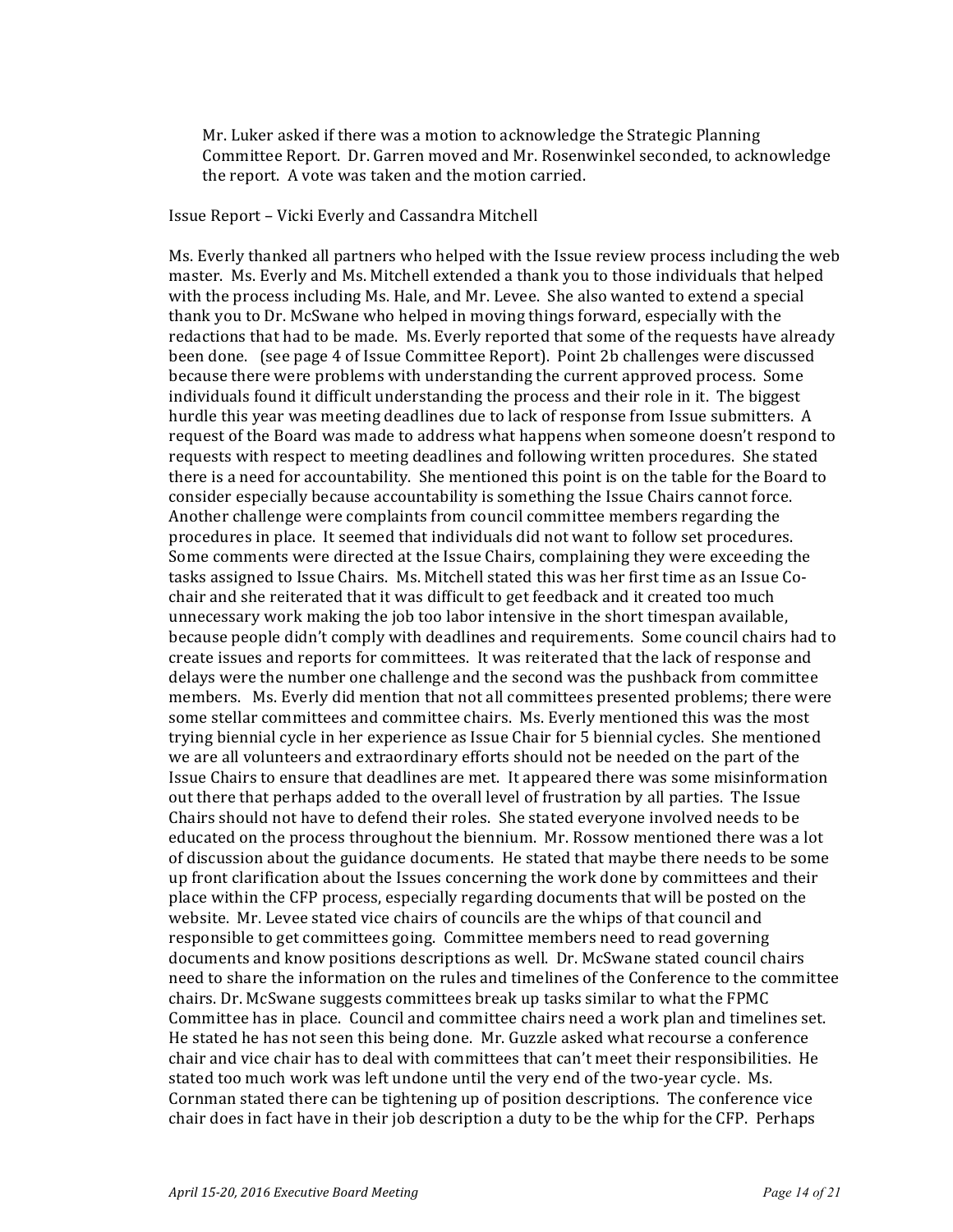Mr. Luker asked if there was a motion to acknowledge the Strategic Planning Committee Report. Dr. Garren moved and Mr. Rosenwinkel seconded, to acknowledge the report. A vote was taken and the motion carried.

#### Issue Report – Vicki Everly and Cassandra Mitchell

Ms. Everly thanked all partners who helped with the Issue review process including the web master. Ms. Everly and Ms. Mitchell extended a thank you to those individuals that helped with the process including Ms. Hale, and Mr. Levee. She also wanted to extend a special thank you to Dr. McSwane who helped in moving things forward, especially with the redactions that had to be made. Ms. Everly reported that some of the requests have already been done. (see page 4 of Issue Committee Report). Point 2b challenges were discussed because there were problems with understanding the current approved process. Some individuals found it difficult understanding the process and their role in it. The biggest hurdle this year was meeting deadlines due to lack of response from Issue submitters. A request of the Board was made to address what happens when someone doesn't respond to requests with respect to meeting deadlines and following written procedures. She stated there is a need for accountability. She mentioned this point is on the table for the Board to consider especially because accountability is something the Issue Chairs cannot force. Another challenge were complaints from council committee members regarding the procedures in place. It seemed that individuals did not want to follow set procedures. Some comments were directed at the Issue Chairs, complaining they were exceeding the tasks assigned to Issue Chairs. Ms. Mitchell stated this was her first time as an Issue Cochair and she reiterated that it was difficult to get feedback and it created too much unnecessary work making the job too labor intensive in the short timespan available, because people didn't comply with deadlines and requirements. Some council chairs had to create issues and reports for committees. It was reiterated that the lack of response and delays were the number one challenge and the second was the pushback from committee members. Ms. Everly did mention that not all committees presented problems; there were some stellar committees and committee chairs. Ms. Everly mentioned this was the most trying biennial cycle in her experience as Issue Chair for 5 biennial cycles. She mentioned we are all volunteers and extraordinary efforts should not be needed on the part of the Issue Chairs to ensure that deadlines are met. It appeared there was some misinformation out there that perhaps added to the overall level of frustration by all parties. The Issue Chairs should not have to defend their roles. She stated everyone involved needs to be educated on the process throughout the biennium. Mr. Rossow mentioned there was a lot of discussion about the guidance documents. He stated that maybe there needs to be some up front clarification about the Issues concerning the work done by committees and their place within the CFP process, especially regarding documents that will be posted on the website. Mr. Levee stated vice chairs of councils are the whips of that council and responsible to get committees going. Committee members need to read governing documents and know positions descriptions as well. Dr. McSwane stated council chairs need to share the information on the rules and timelines of the Conference to the committee chairs. Dr. McSwane suggests committees break up tasks similar to what the FPMC Committee has in place. Council and committee chairs need a work plan and timelines set. He stated he has not seen this being done. Mr. Guzzle asked what recourse a conference chair and vice chair has to deal with committees that can't meet their responsibilities. He stated too much work was left undone until the very end of the two-year cycle. Ms. Cornman stated there can be tightening up of position descriptions. The conference vice chair does in fact have in their job description a duty to be the whip for the CFP. Perhaps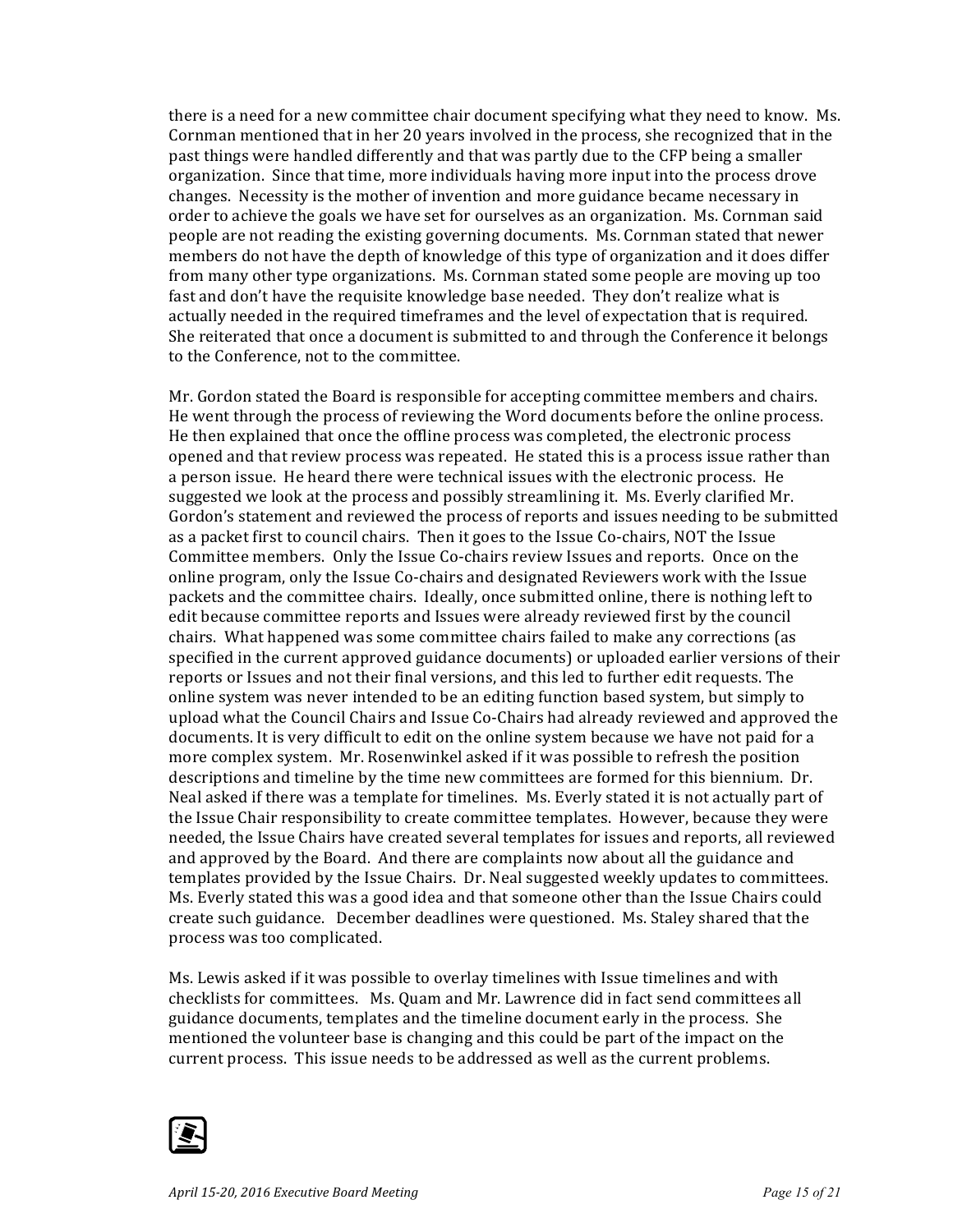there is a need for a new committee chair document specifying what they need to know. Ms. Cornman mentioned that in her 20 years involved in the process, she recognized that in the past things were handled differently and that was partly due to the CFP being a smaller organization. Since that time, more individuals having more input into the process drove changes. Necessity is the mother of invention and more guidance became necessary in order to achieve the goals we have set for ourselves as an organization. Ms. Cornman said people are not reading the existing governing documents. Ms. Cornman stated that newer members do not have the depth of knowledge of this type of organization and it does differ from many other type organizations. Ms. Cornman stated some people are moving up too fast and don't have the requisite knowledge base needed. They don't realize what is actually needed in the required timeframes and the level of expectation that is required. She reiterated that once a document is submitted to and through the Conference it belongs to the Conference, not to the committee.

Mr. Gordon stated the Board is responsible for accepting committee members and chairs. He went through the process of reviewing the Word documents before the online process. He then explained that once the offline process was completed, the electronic process opened and that review process was repeated. He stated this is a process issue rather than a person issue. He heard there were technical issues with the electronic process. He suggested we look at the process and possibly streamlining it. Ms. Everly clarified Mr. Gordon's statement and reviewed the process of reports and issues needing to be submitted as a packet first to council chairs. Then it goes to the Issue Co-chairs, NOT the Issue Committee members. Only the Issue Co-chairs review Issues and reports. Once on the online program, only the Issue Co-chairs and designated Reviewers work with the Issue packets and the committee chairs. Ideally, once submitted online, there is nothing left to edit because committee reports and Issues were already reviewed first by the council chairs. What happened was some committee chairs failed to make any corrections (as specified in the current approved guidance documents) or uploaded earlier versions of their reports or Issues and not their final versions, and this led to further edit requests. The online system was never intended to be an editing function based system, but simply to upload what the Council Chairs and Issue Co-Chairs had already reviewed and approved the documents. It is very difficult to edit on the online system because we have not paid for a more complex system. Mr. Rosenwinkel asked if it was possible to refresh the position descriptions and timeline by the time new committees are formed for this biennium. Dr. Neal asked if there was a template for timelines. Ms. Everly stated it is not actually part of the Issue Chair responsibility to create committee templates. However, because they were needed, the Issue Chairs have created several templates for issues and reports, all reviewed and approved by the Board. And there are complaints now about all the guidance and templates provided by the Issue Chairs. Dr. Neal suggested weekly updates to committees. Ms. Everly stated this was a good idea and that someone other than the Issue Chairs could create such guidance. December deadlines were questioned. Ms. Staley shared that the process was too complicated.

Ms. Lewis asked if it was possible to overlay timelines with Issue timelines and with checklists for committees. Ms. Quam and Mr. Lawrence did in fact send committees all guidance documents, templates and the timeline document early in the process. She mentioned the volunteer base is changing and this could be part of the impact on the current process. This issue needs to be addressed as well as the current problems.

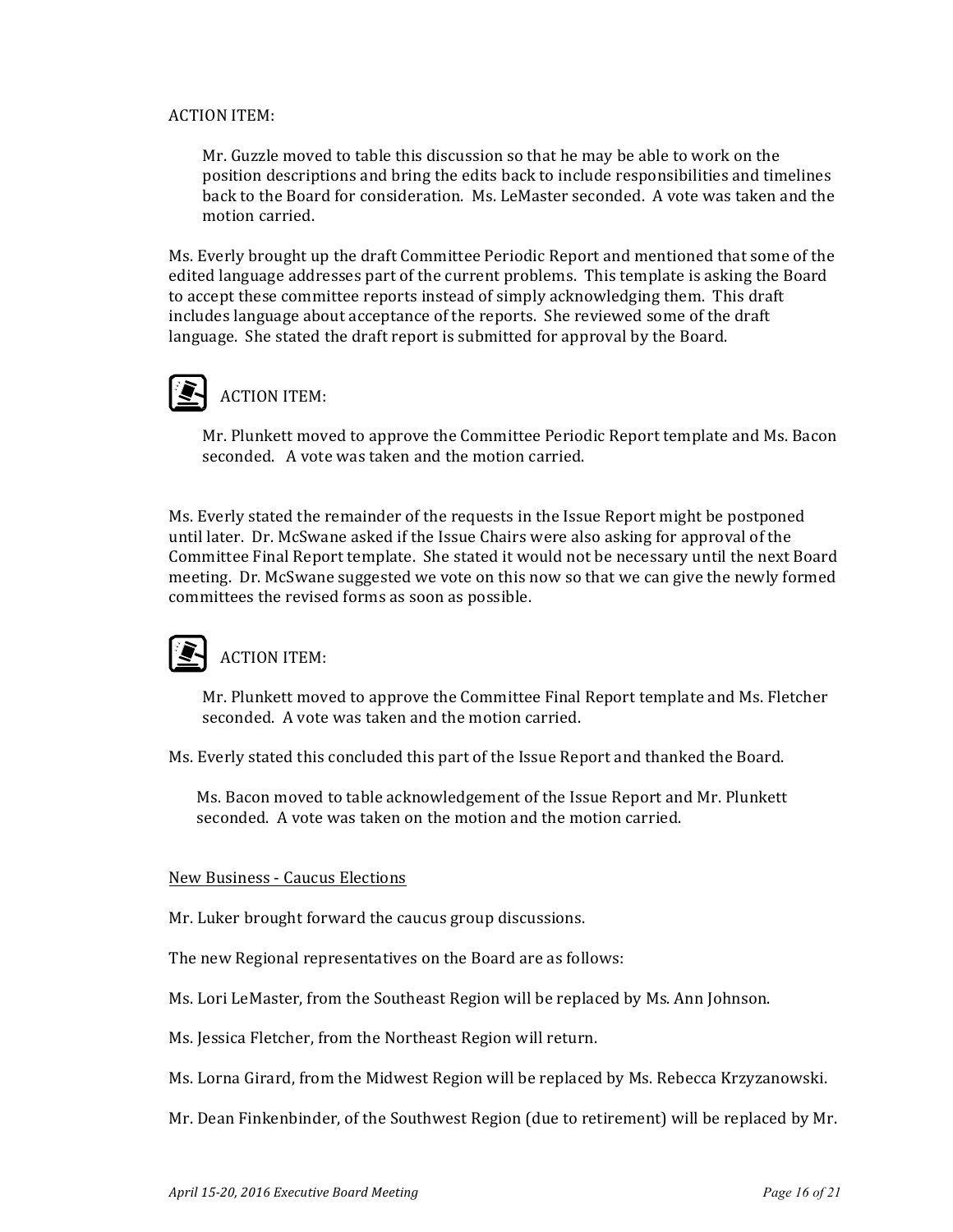#### **ACTION ITEM:**

Mr. Guzzle moved to table this discussion so that he may be able to work on the position descriptions and bring the edits back to include responsibilities and timelines back to the Board for consideration. Ms. LeMaster seconded. A vote was taken and the motion carried.

Ms. Everly brought up the draft Committee Periodic Report and mentioned that some of the edited language addresses part of the current problems. This template is asking the Board to accept these committee reports instead of simply acknowledging them. This draft includes language about acceptance of the reports. She reviewed some of the draft language. She stated the draft report is submitted for approval by the Board.

### **ACTION ITEM:**

Mr. Plunkett moved to approve the Committee Periodic Report template and Ms. Bacon seconded. A vote was taken and the motion carried.

Ms. Everly stated the remainder of the requests in the Issue Report might be postponed until later. Dr. McSwane asked if the Issue Chairs were also asking for approval of the Committee Final Report template. She stated it would not be necessary until the next Board meeting. Dr. McSwane suggested we vote on this now so that we can give the newly formed committees the revised forms as soon as possible.

### $\blacksquare$  ACTION ITEM:

Mr. Plunkett moved to approve the Committee Final Report template and Ms. Fletcher seconded. A vote was taken and the motion carried.

Ms. Everly stated this concluded this part of the Issue Report and thanked the Board.

Ms. Bacon moved to table acknowledgement of the Issue Report and Mr. Plunkett seconded. A vote was taken on the motion and the motion carried.

#### New Business - Caucus Elections

Mr. Luker brought forward the caucus group discussions.

The new Regional representatives on the Board are as follows:

Ms. Lori LeMaster, from the Southeast Region will be replaced by Ms. Ann Johnson.

Ms. Jessica Fletcher, from the Northeast Region will return.

Ms. Lorna Girard, from the Midwest Region will be replaced by Ms. Rebecca Krzyzanowski.

Mr. Dean Finkenbinder, of the Southwest Region (due to retirement) will be replaced by Mr.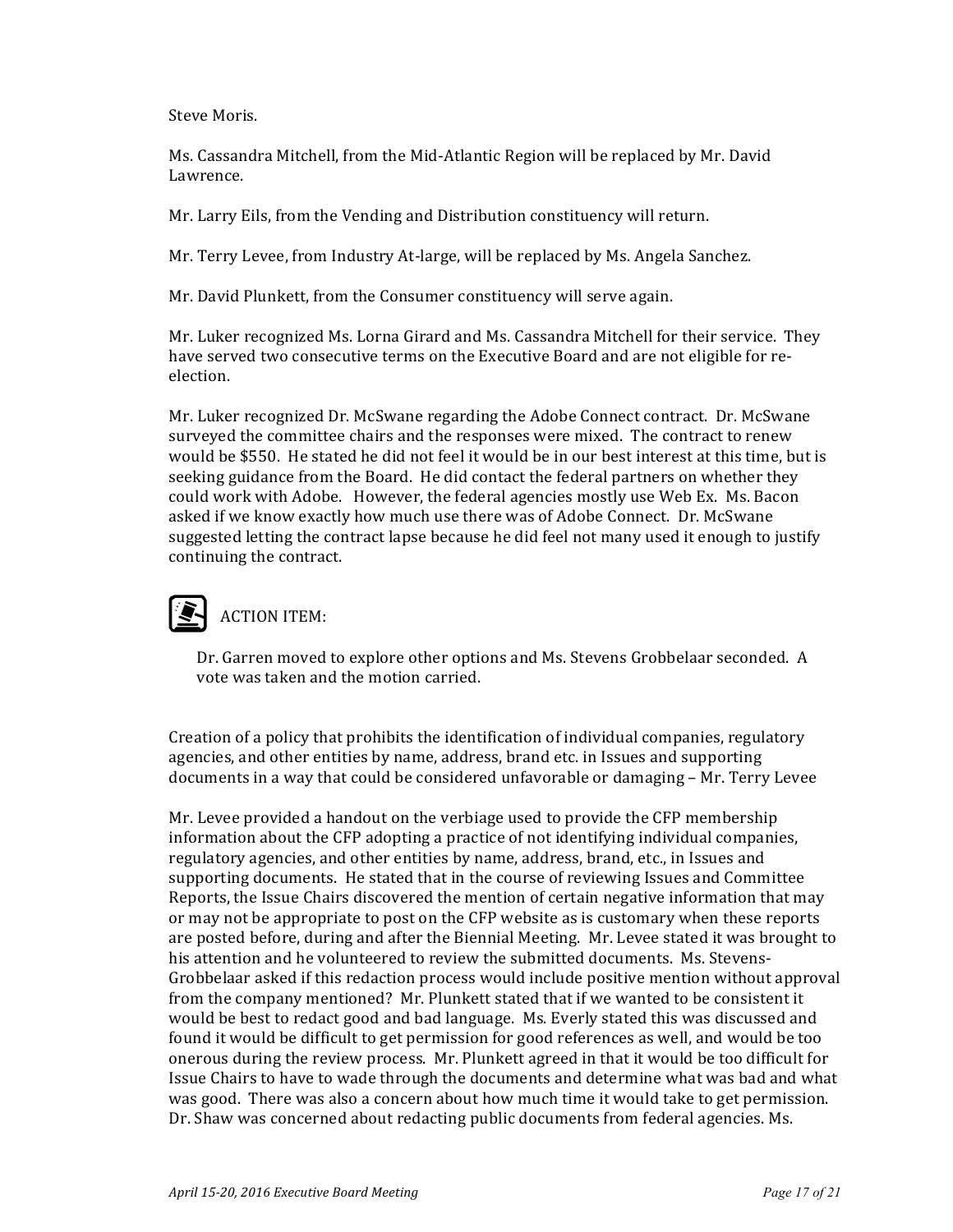Steve Moris.

Ms. Cassandra Mitchell, from the Mid-Atlantic Region will be replaced by Mr. David Lawrence.

Mr. Larry Eils, from the Vending and Distribution constituency will return.

Mr. Terry Levee, from Industry At-large, will be replaced by Ms. Angela Sanchez.

Mr. David Plunkett, from the Consumer constituency will serve again.

Mr. Luker recognized Ms. Lorna Girard and Ms. Cassandra Mitchell for their service. They have served two consecutive terms on the Executive Board and are not eligible for reelection.

Mr. Luker recognized Dr. McSwane regarding the Adobe Connect contract. Dr. McSwane surveyed the committee chairs and the responses were mixed. The contract to renew would be \$550. He stated he did not feel it would be in our best interest at this time, but is seeking guidance from the Board. He did contact the federal partners on whether they could work with Adobe. However, the federal agencies mostly use Web Ex. Ms. Bacon asked if we know exactly how much use there was of Adobe Connect. Dr. McSwane suggested letting the contract lapse because he did feel not many used it enough to justify continuing the contract.

### **ACTION ITEM:**

Dr. Garren moved to explore other options and Ms. Stevens Grobbelaar seconded. A vote was taken and the motion carried.

Creation of a policy that prohibits the identification of individual companies, regulatory agencies, and other entities by name, address, brand etc. in Issues and supporting documents in a way that could be considered unfavorable or damaging - Mr. Terry Levee

Mr. Levee provided a handout on the verbiage used to provide the CFP membership information about the CFP adopting a practice of not identifying individual companies, regulatory agencies, and other entities by name, address, brand, etc., in Issues and supporting documents. He stated that in the course of reviewing Issues and Committee Reports, the Issue Chairs discovered the mention of certain negative information that may or may not be appropriate to post on the CFP website as is customary when these reports are posted before, during and after the Biennial Meeting. Mr. Levee stated it was brought to his attention and he volunteered to review the submitted documents. Ms. Stevens-Grobbelaar asked if this redaction process would include positive mention without approval from the company mentioned? Mr. Plunkett stated that if we wanted to be consistent it would be best to redact good and bad language. Ms. Everly stated this was discussed and found it would be difficult to get permission for good references as well, and would be too onerous during the review process. Mr. Plunkett agreed in that it would be too difficult for Issue Chairs to have to wade through the documents and determine what was bad and what was good. There was also a concern about how much time it would take to get permission. Dr. Shaw was concerned about redacting public documents from federal agencies. Ms.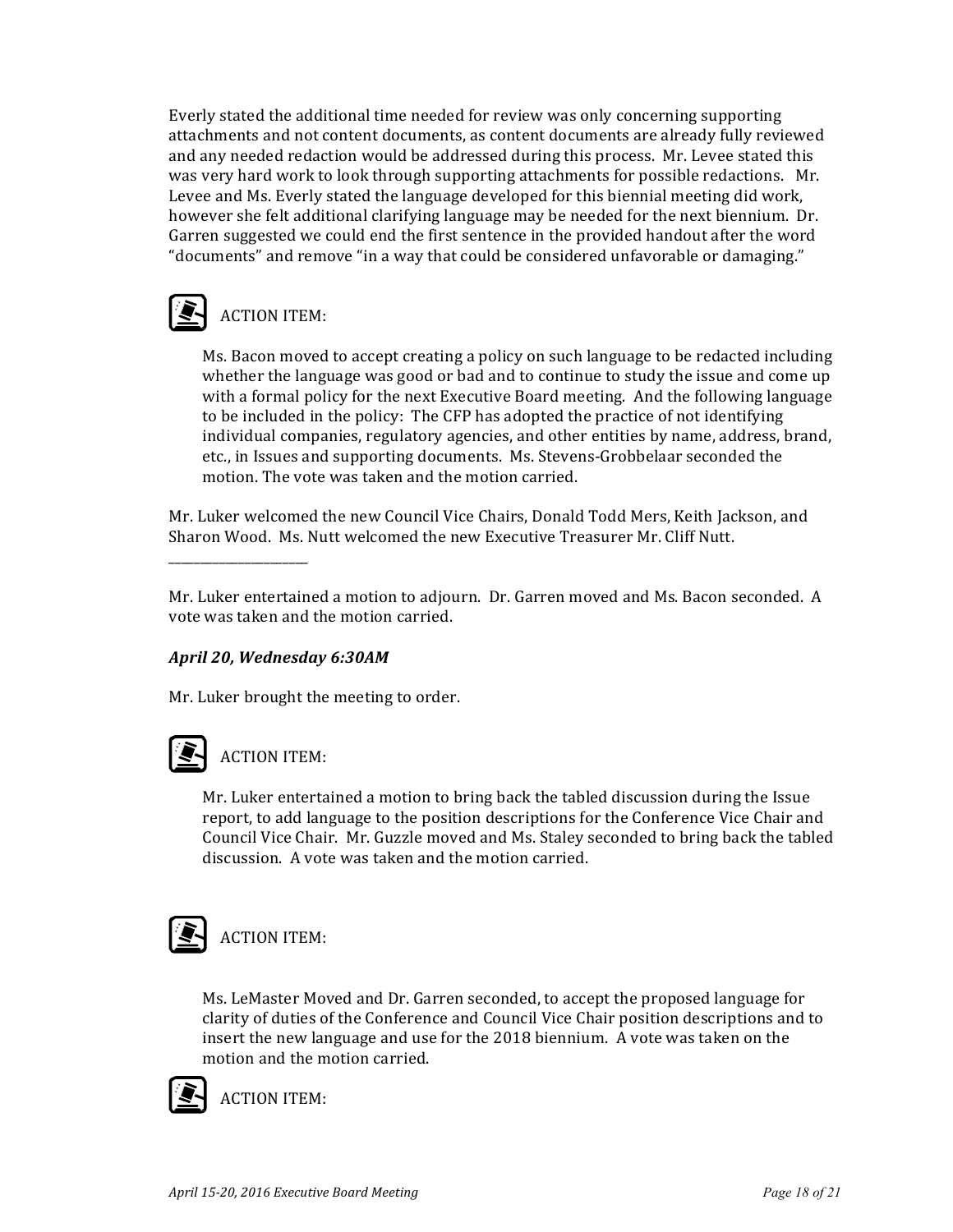Everly stated the additional time needed for review was only concerning supporting attachments and not content documents, as content documents are already fully reviewed and any needed redaction would be addressed during this process. Mr. Levee stated this was very hard work to look through supporting attachments for possible redactions. Mr. Levee and Ms. Everly stated the language developed for this biennial meeting did work, however she felt additional clarifying language may be needed for the next biennium. Dr. Garren suggested we could end the first sentence in the provided handout after the word "documents" and remove "in a way that could be considered unfavorable or damaging."

# **ACTION ITEM:**

Ms. Bacon moved to accept creating a policy on such language to be redacted including whether the language was good or bad and to continue to study the issue and come up with a formal policy for the next Executive Board meeting. And the following language to be included in the policy: The CFP has adopted the practice of not identifying individual companies, regulatory agencies, and other entities by name, address, brand, etc., in Issues and supporting documents. Ms. Stevens-Grobbelaar seconded the motion. The vote was taken and the motion carried.

Mr. Luker welcomed the new Council Vice Chairs, Donald Todd Mers, Keith Jackson, and Sharon Wood. Ms. Nutt welcomed the new Executive Treasurer Mr. Cliff Nutt.

Mr. Luker entertained a motion to adjourn. Dr. Garren moved and Ms. Bacon seconded. A vote was taken and the motion carried.

### *April 20, Wednesday 6:30AM*

Mr. Luker brought the meeting to order.

### **ACTION ITEM:**

\_\_\_\_\_\_\_\_\_\_\_\_\_\_\_\_\_\_\_\_\_\_

Mr. Luker entertained a motion to bring back the tabled discussion during the Issue report, to add language to the position descriptions for the Conference Vice Chair and Council Vice Chair. Mr. Guzzle moved and Ms. Staley seconded to bring back the tabled discussion. A vote was taken and the motion carried.

## **ACTION ITEM:**

Ms. LeMaster Moved and Dr. Garren seconded, to accept the proposed language for clarity of duties of the Conference and Council Vice Chair position descriptions and to insert the new language and use for the 2018 biennium. A vote was taken on the motion and the motion carried.



**ACTION ITEM:**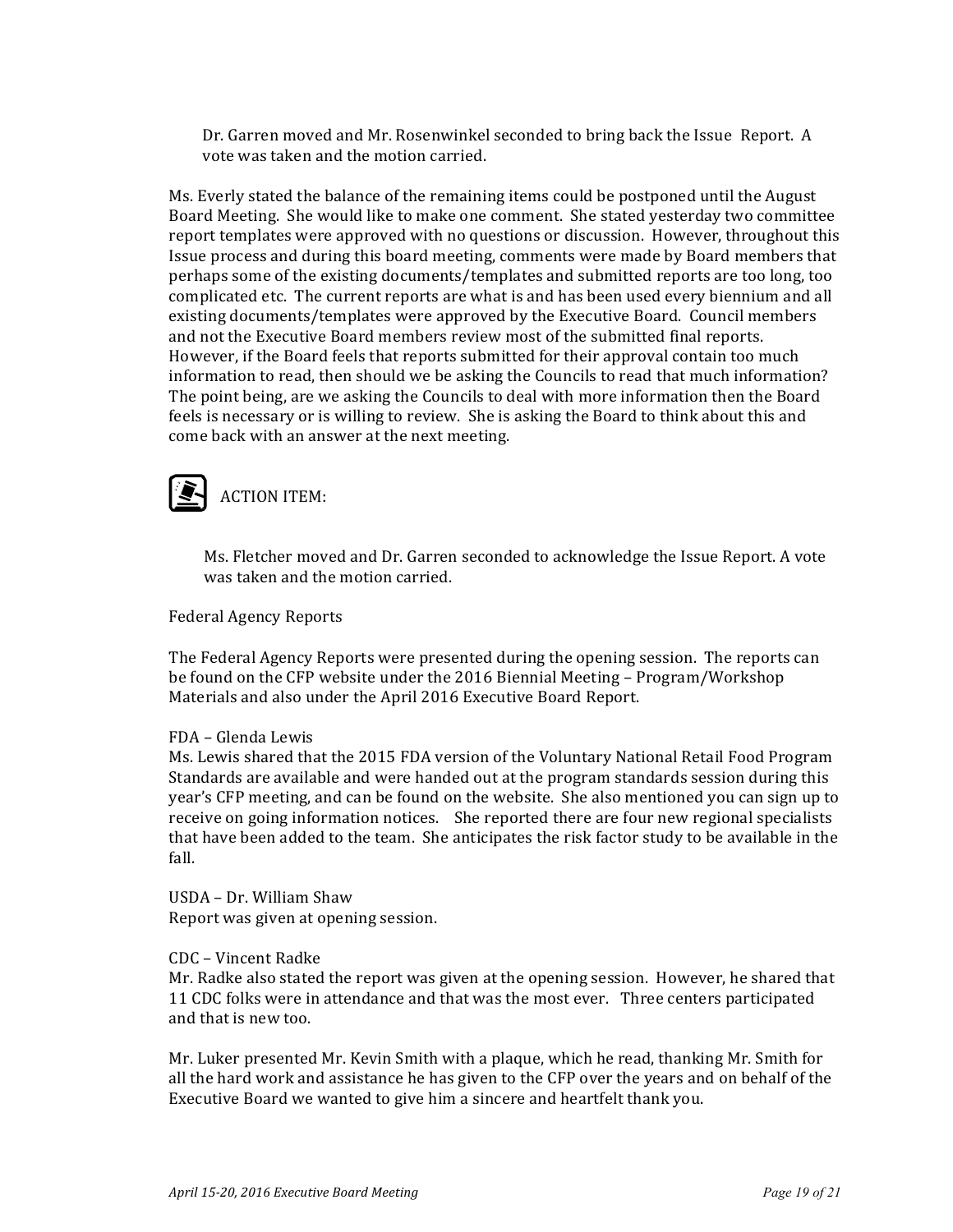Dr. Garren moved and Mr. Rosenwinkel seconded to bring back the Issue Report. A vote was taken and the motion carried.

Ms. Everly stated the balance of the remaining items could be postponed until the August Board Meeting. She would like to make one comment. She stated yesterday two committee report templates were approved with no questions or discussion. However, throughout this Issue process and during this board meeting, comments were made by Board members that perhaps some of the existing documents/templates and submitted reports are too long, too complicated etc. The current reports are what is and has been used every biennium and all existing documents/templates were approved by the Executive Board. Council members and not the Executive Board members review most of the submitted final reports. However, if the Board feels that reports submitted for their approval contain too much information to read, then should we be asking the Councils to read that much information? The point being, are we asking the Councils to deal with more information then the Board feels is necessary or is willing to review. She is asking the Board to think about this and come back with an answer at the next meeting.

### **ACTION ITEM:**

Ms. Fletcher moved and Dr. Garren seconded to acknowledge the Issue Report. A vote was taken and the motion carried.

Federal Agency Reports

The Federal Agency Reports were presented during the opening session. The reports can be found on the CFP website under the 2016 Biennial Meeting – Program/Workshop Materials and also under the April 2016 Executive Board Report.

#### FDA - Glenda Lewis

Ms. Lewis shared that the 2015 FDA version of the Voluntary National Retail Food Program Standards are available and were handed out at the program standards session during this year's CFP meeting, and can be found on the website. She also mentioned you can sign up to receive on going information notices. She reported there are four new regional specialists that have been added to the team. She anticipates the risk factor study to be available in the fall.

USDA - Dr. William Shaw Report was given at opening session.

#### CDC – Vincent Radke

Mr. Radke also stated the report was given at the opening session. However, he shared that 11 CDC folks were in attendance and that was the most ever. Three centers participated and that is new too.

Mr. Luker presented Mr. Kevin Smith with a plaque, which he read, thanking Mr. Smith for all the hard work and assistance he has given to the CFP over the years and on behalf of the Executive Board we wanted to give him a sincere and heartfelt thank you.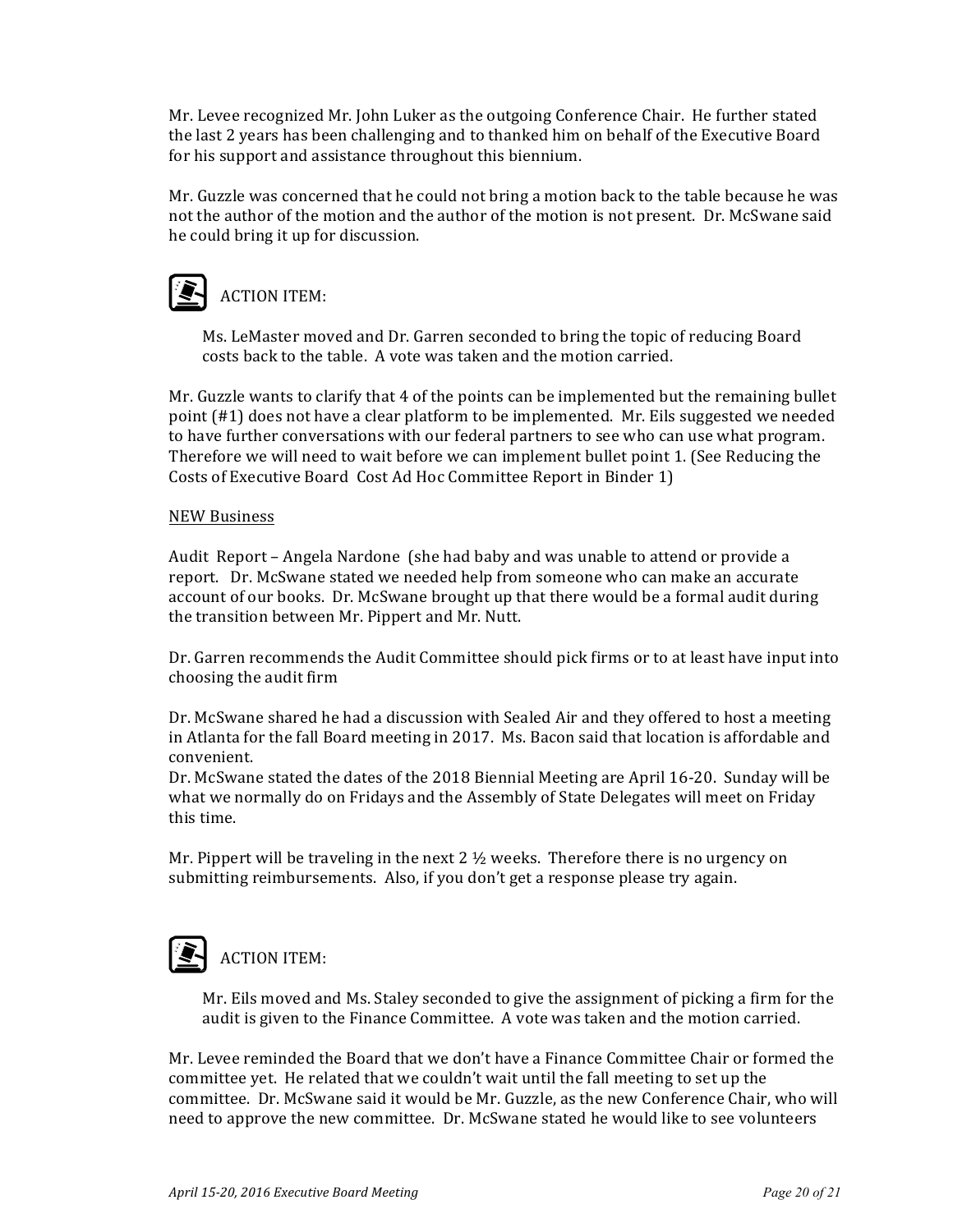Mr. Levee recognized Mr. John Luker as the outgoing Conference Chair. He further stated the last 2 years has been challenging and to thanked him on behalf of the Executive Board for his support and assistance throughout this biennium.

Mr. Guzzle was concerned that he could not bring a motion back to the table because he was not the author of the motion and the author of the motion is not present. Dr. McSwane said he could bring it up for discussion.

### **ACTION ITEM:**

Ms. LeMaster moved and Dr. Garren seconded to bring the topic of reducing Board costs back to the table. A vote was taken and the motion carried.

Mr. Guzzle wants to clarify that  $4$  of the points can be implemented but the remaining bullet point (#1) does not have a clear platform to be implemented. Mr. Eils suggested we needed to have further conversations with our federal partners to see who can use what program. Therefore we will need to wait before we can implement bullet point 1. (See Reducing the Costs of Executive Board Cost Ad Hoc Committee Report in Binder 1)

#### NEW Business

Audit Report – Angela Nardone (she had baby and was unable to attend or provide a report. Dr. McSwane stated we needed help from someone who can make an accurate account of our books. Dr. McSwane brought up that there would be a formal audit during the transition between Mr. Pippert and Mr. Nutt.

Dr. Garren recommends the Audit Committee should pick firms or to at least have input into choosing the audit firm

Dr. McSwane shared he had a discussion with Sealed Air and they offered to host a meeting in Atlanta for the fall Board meeting in 2017. Ms. Bacon said that location is affordable and convenient. 

Dr. McSwane stated the dates of the 2018 Biennial Meeting are April 16-20. Sunday will be what we normally do on Fridays and the Assembly of State Delegates will meet on Friday this time.

Mr. Pippert will be traveling in the next  $2 \frac{1}{2}$  weeks. Therefore there is no urgency on submitting reimbursements. Also, if you don't get a response please try again.

### **ACTION ITEM:**

Mr. Eils moved and Ms. Staley seconded to give the assignment of picking a firm for the audit is given to the Finance Committee. A vote was taken and the motion carried.

Mr. Levee reminded the Board that we don't have a Finance Committee Chair or formed the committee yet. He related that we couldn't wait until the fall meeting to set up the committee. Dr. McSwane said it would be Mr. Guzzle, as the new Conference Chair, who will need to approve the new committee. Dr. McSwane stated he would like to see volunteers